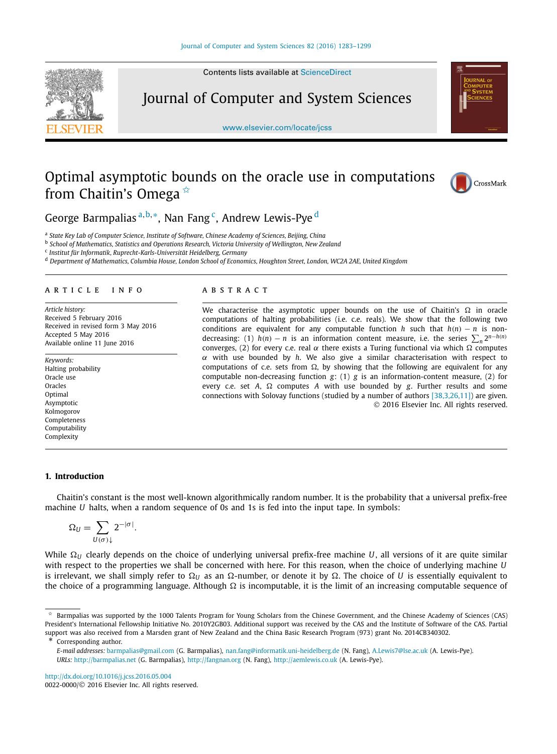Contents lists available at [ScienceDirect](http://www.ScienceDirect.com/)



Journal of Computer and System Sciences

[www.elsevier.com/locate/jcss](http://www.elsevier.com/locate/jcss)



# Optimal asymptotic bounds on the oracle use in computations from Chaitin's Omega  $\dot{\alpha}$



George Barmpalias<sup>a,b,∗</sup>, Nan Fang<sup>c</sup>, Andrew Lewis-Pye<sup>d</sup>

<sup>a</sup> *State Key Lab of Computer Science, Institute of Software, Chinese Academy of Sciences, Beijing, China*

<sup>b</sup> *School of Mathematics, Statistics and Operations Research, Victoria University of Wellington, New Zealand*

<sup>c</sup> *Institut für Informatik, Ruprecht-Karls-Universität Heidelberg, Germany*

<sup>d</sup> Department of Mathematics, Columbia House, London School of Economics, Houghton Street, London, WC2A 2AE, United Kingdom

#### A R T I C L E I N F O A B S T R A C T

*Article history:* Received 5 February 2016 Received in revised form 3 May 2016 Accepted 5 May 2016 Available online 11 June 2016

*Keywords:* Halting probability Oracle use Oracles Optimal Asymptotic Kolmogorov Completeness Computability Complexity

We characterise the asymptotic upper bounds on the use of Chaitin's  $\Omega$  in oracle computations of halting probabilities (i.e. c.e. reals). We show that the following two conditions are equivalent for any computable function *h* such that  $h(n) - n$  is nondecreasing: (1)  $h(n) - n$  is an information content measure, i.e. the series  $\sum_{n} 2^{n-h(n)}$ converges, (2) for every c.e. real  $\alpha$  there exists a Turing functional via which  $\Omega$  computes α with use bounded by *h*. We also give a similar characterisation with respect to computations of c.e. sets from  $\Omega$ , by showing that the following are equivalent for any computable non-decreasing function *g*: (1) *g* is an information-content measure, (2) for every c.e. set  $A$ ,  $\Omega$  computes  $A$  with use bounded by  $g$ . Further results and some connections with Solovay functions (studied by a number of authors [\[38,3,26,11\]\)](#page-16-0) are given. © 2016 Elsevier Inc. All rights reserved.

#### **1. Introduction**

Chaitin's constant is the most well-known algorithmically random number. It is the probability that a universal prefix-free machine *U* halts, when a random sequence of 0s and 1s is fed into the input tape. In symbols:

$$
\Omega_U = \sum_{U(\sigma)\downarrow} 2^{-|\sigma|}.
$$

While  $\Omega_U$  clearly depends on the choice of underlying universal prefix-free machine *U*, all versions of it are quite similar with respect to the properties we shall be concerned with here. For this reason, when the choice of underlying machine *U* is irrelevant, we shall simply refer to  $\Omega_U$  as an  $\Omega$ -number, or denote it by  $\Omega$ . The choice of *U* is essentially equivalent to the choice of a programming language. Although  $\Omega$  is incomputable, it is the limit of an increasing computable sequence of

Corresponding author.

<http://dx.doi.org/10.1016/j.jcss.2016.05.004> 0022-0000/© 2016 Elsevier Inc. All rights reserved.

<sup>✩</sup> Barmpalias was supported by the 1000 Talents Program for Young Scholars from the Chinese Government, and the Chinese Academy of Sciences (CAS) President's International Fellowship Initiative No. 2010Y2GB03. Additional support was received by the CAS and the Institute of Software of the CAS. Partial support was also received from a Marsden grant of New Zealand and the China Basic Research Program (973) grant No. 2014CB340302.

*E-mail addresses:* [barmpalias@gmail.com](mailto:barmpalias@gmail.com) (G. Barmpalias), [nan.fang@informatik.uni-heidelberg.de](mailto:nan.fang@informatik.uni-heidelberg.de) (N. Fang), [A.Lewis7@lse.ac.uk](mailto:A.Lewis7@lse.ac.uk) (A. Lewis-Pye). *URLs:* <http://barmpalias.net> (G. Barmpalias), <http://fangnan.org> (N. Fang), <http://aemlewis.co.uk> (A. Lewis-Pye).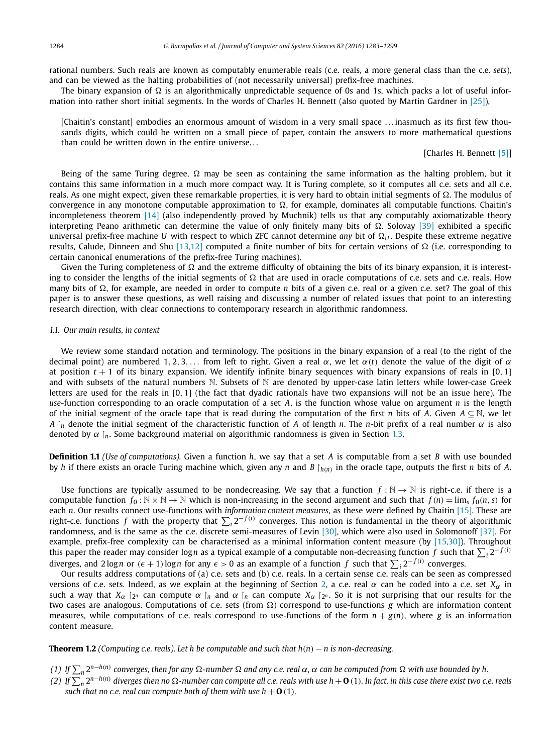<span id="page-1-0"></span>rational numbers. Such reals are known as computably enumerable reals (c.e. reals, a more general class than the c.e. *sets*), and can be viewed as the halting probabilities of (not necessarily universal) prefix-free machines.

The binary expansion of  $\Omega$  is an algorithmically unpredictable sequence of 0s and 1s, which packs a lot of useful information into rather short initial segments. In the words of Charles H. Bennett (also quoted by Martin Gardner in [\[25\]\)](#page-15-0),

[Chaitin's constant] embodies an enormous amount of wisdom in a very small space . . . inasmuch as its first few thousands digits, which could be written on a small piece of paper, contain the answers to more mathematical questions than could be written down in the entire universe. . .

# [Charles H. Bennett [\[5\]\]](#page-15-0)

Being of the same Turing degree,  $\Omega$  may be seen as containing the same information as the halting problem, but it contains this same information in a much more compact way. It is Turing complete, so it computes all c.e. sets and all c.e. reals. As one might expect, given these remarkable properties, it is very hard to obtain initial segments of  $\Omega$ . The modulus of convergence in any monotone computable approximation to  $\Omega$ , for example, dominates all computable functions. Chaitin's incompleteness theorem [\[14\]](#page-15-0) (also independently proved by Muchnik) tells us that any computably axiomatizable theory interpreting Peano arithmetic can determine the value of only finitely many bits of  $\Omega$ . Solovay [\[39\]](#page-16-0) exhibited a specific universal prefix-free machine *U* with respect to which ZFC cannot determine *any* bit of  $\Omega_{U}$ . Despite these extreme negative results, Calude, Dinneen and Shu [\[13,12\]](#page-15-0) computed a finite number of bits for certain versions of  $\Omega$  (i.e. corresponding to certain canonical enumerations of the prefix-free Turing machines).

Given the Turing completeness of  $\Omega$  and the extreme difficulty of obtaining the bits of its binary expansion, it is interesting to consider the lengths of the initial segments of  $\Omega$  that are used in oracle computations of c.e. sets and c.e. reals. How many bits of  $\Omega$ , for example, are needed in order to compute *n* bits of a given c.e. real or a given c.e. set? The goal of this paper is to answer these questions, as well raising and discussing a number of related issues that point to an interesting research direction, with clear connections to contemporary research in algorithmic randomness.

# *1.1. Our main results, in context*

We review some standard notation and terminology. The positions in the binary expansion of a real (to the right of the decimal point) are numbered 1, 2, 3,... from left to right. Given a real  $\alpha$ , we let  $\alpha(t)$  denote the value of the digit of  $\alpha$ at position  $t + 1$  of its binary expansion. We identify infinite binary sequences with binary expansions of reals in [0, 1] and with subsets of the natural numbers  $N$ . Subsets of  $N$  are denoted by upper-case latin letters while lower-case Greek letters are used for the reals in [0*,* 1] (the fact that dyadic rationals have two expansions will not be an issue here). The *use*-function corresponding to an oracle computation of a set *A*, is the function whose value on argument *n* is the length of the initial segment of the oracle tape that is read during the computation of the first *n* bits of *A*. Given  $A \subseteq \mathbb{N}$ , we let *A*  $\upharpoonright$ *n* denote the initial segment of the characteristic function of *A* of length *n*. The *n*-bit prefix of a real number  $\alpha$  is also denoted by  $\alpha$  *[n.* Some background material on algorithmic randomness is given in Section [1.3.](#page-4-0)

**Definition 1.1** *(Use of computations).* Given a function *h*, we say that a set *A* is computable from a set *B* with use bounded by *h* if there exists an oracle Turing machine which, given any *n* and *B*  $\vert_{h(n)}$  in the oracle tape, outputs the first *n* bits of *A*.

Use functions are typically assumed to be nondecreasing. We say that a function  $f : \mathbb{N} \to \mathbb{N}$  is right-c.e. if there is a computable function  $f_0 : \mathbb{N} \times \mathbb{N} \to \mathbb{N}$  which is non-increasing in the second argument and such that  $f(n) = \lim_s f_0(n, s)$  for each *n*. Our results connect use-functions with *information content measures*, as these were defined by Chaitin [\[15\].](#page-15-0) These are right-c.e. functions *f* with the property that  $\sum_i 2^{-f(i)}$  converges. This notion is fundamental in the theory of algorithmic randomness, and is the same as the c.e. discrete semi-measures of Levin [\[30\],](#page-16-0) which were also used in Solomonoff [\[37\].](#page-16-0) For example, prefix-free complexity can be characterised as a minimal information content measure (by [\[15,30\]\)](#page-15-0). Throughout this paper the reader may consider log*n* as a typical example of a computable non-decreasing function  $f$  such that  $\sum_i 2^{-f(i)}$ diverges, and 2 log *n* or  $(\epsilon + 1)$  log *n* for any  $\epsilon > 0$  as an example of a function  $f$  such that  $\sum_i 2^{-f(i)}$  converges.

Our results address computations of (a) c.e. sets and (b) c.e. reals. In a certain sense c.e. reals can be seen as compressed versions of c.e. sets. Indeed, as we explain at the beginning of Section [2,](#page-5-0) a c.e. real  $\alpha$  can be coded into a c.e. set  $X_\alpha$  in such a way that  $X_\alpha$  |2<sup>*n*</sup> can compute  $\alpha$  |<sub>*n*</sub> and  $\alpha$  |<sub>*n*</sub> can compute  $X_\alpha$  |2*<sup>n</sup>*. So it is not surprising that our results for the two cases are analogous. Computations of c.e. sets (from  $\Omega$ ) correspond to use-functions *g* which are information content measures, while computations of c.e. reals correspond to use-functions of the form  $n + g(n)$ , where g is an information content measure.

**Theorem 1.2** *(Computing c.e. reals). Let h be computable and such that*  $h(n) - n$  *is non-decreasing.* 

- (1) If  $\sum_n 2^{n-h(n)}$  converges, then for any  $\Omega$ -number  $\Omega$  and any c.e. real  $\alpha$ ,  $\alpha$  can be computed from  $\Omega$  with use bounded by h.
- (2) If  $\sum_n 2^{n-h(n)}$  diverges then no  $\Omega$ -number can compute all c.e. reals with use h  $+$  **O**(1). In fact, in this case there exist two c.e. reals *such that no c.e. real can compute both of <i>them* with use  $h + \mathbf{0}$  (1).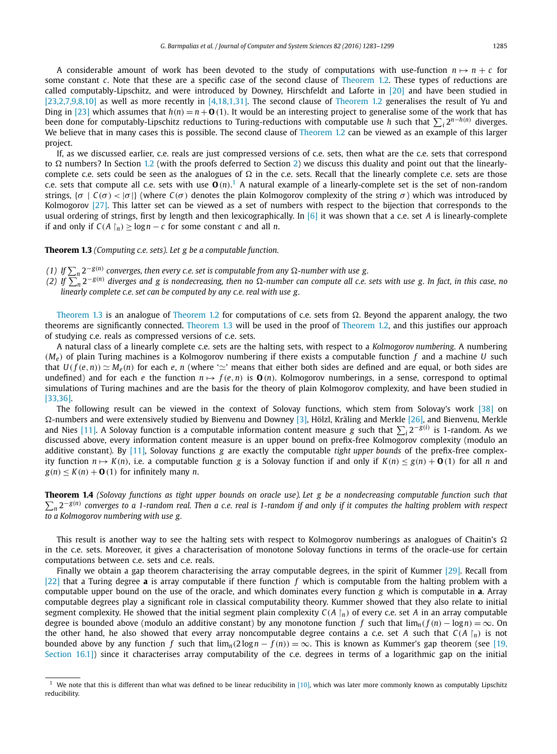<span id="page-2-0"></span>A considerable amount of work has been devoted to the study of computations with use-function  $n \mapsto n + c$  for some constant *c*. Note that these are a specific case of the second clause of [Theorem 1.2.](#page-1-0) These types of reductions are called computably-Lipschitz, and were introduced by Downey, Hirschfeldt and Laforte in [\[20\]](#page-15-0) and have been studied in [\[23,2,7,9,8,10\]](#page-15-0) as well as more recently in [\[4,18,1,31\].](#page-15-0) The second clause of [Theorem 1.2](#page-1-0) generalises the result of Yu and Ding in [\[23\]](#page-15-0) which assumes that  $h(n) = n + O(1)$ . It would be an interesting project to generalise some of the work that has been done for computably-Lipschitz reductions to Turing-reductions with computable use *h* such that  $\sum_i 2^{n-h(n)}$  diverges. We believe that in many cases this is possible. The second clause of [Theorem 1.2](#page-1-0) can be viewed as an example of this larger project.

If, as we discussed earlier, c.e. reals are just compressed versions of c.e. sets, then what are the c.e. sets that correspond to  $\Omega$  numbers? In Section [1.2](#page-3-0) (with the proofs deferred to Section [2\)](#page-5-0) we discuss this duality and point out that the linearlycomplete c.e. sets could be seen as the analogues of  $\Omega$  in the c.e. sets. Recall that the linearly complete c.e. sets are those c.e. sets that compute all c.e. sets with use **O** *(n)*. <sup>1</sup> A natural example of a linearly-complete set is the set of non-random strings,  $\{\sigma | C(\sigma) < |\sigma| \}$  (where  $C(\sigma)$  denotes the plain Kolmogorov complexity of the string  $\sigma$ ) which was introduced by Kolmogorov [\[27\].](#page-16-0) This latter set can be viewed as a set of numbers with respect to the bijection that corresponds to the usual ordering of strings, first by length and then lexicographically. In [\[6\]](#page-15-0) it was shown that a c.e. set *A* is linearly-complete if and only if  $C(A \nvert_n) > log n - c$  for some constant *c* and all *n*.

# **Theorem 1.3** *(Computing c.e. sets). Let g be a computable function.*

- (1) If  $\sum_n 2^{-g(n)}$  converges, then every c.e. set is computable from any  $\Omega$ -number with use g.
- (2) If  $\sum_{n}^{\infty} 2^{-g(n)}$  diverges and g is nondecreasing, then no  $\Omega$ -number can compute all c.e. sets with use g. In fact, in this case, no *linearly complete c.e. set can be computed by any c.e. real with use g.*

Theorem 1.3 is an analogue of [Theorem 1.2](#page-1-0) for computations of c.e. sets from  $\Omega$ . Beyond the apparent analogy, the two theorems are significantly connected. Theorem 1.3 will be used in the proof of [Theorem 1.2,](#page-1-0) and this justifies our approach of studying c.e. reals as compressed versions of c.e. sets.

A natural class of a linearly complete c.e. sets are the halting sets, with respect to a *Kolmogorov numbering*. A numbering *(Me)* of plain Turing machines is a Kolmogorov numbering if there exists a computable function *f* and a machine *U* such that  $U(f(e, n)) \simeq M_e(n)$  for each  $e, n$  (where ' $\simeq$ ' means that either both sides are defined and are equal, or both sides are undefined) and for each *e* the function  $n \mapsto f(e, n)$  is  $\mathbf{O}(n)$ . Kolmogorov numberings, in a sense, correspond to optimal simulations of Turing machines and are the basis for the theory of plain Kolmogorov complexity, and have been studied in [\[33,36\].](#page-16-0)

The following result can be viewed in the context of Solovay functions, which stem from Solovay's work [\[38\]](#page-16-0) on  $\Omega$ -numbers and were extensively studied by Bienvenu and Downey [\[3\],](#page-15-0) Hölzl, Kräling and Merkle [\[26\],](#page-15-0) and Bienvenu, Merkle and Nies [\[11\].](#page-15-0) A Solovay function is a computable information content measure *g* such that ! *<sup>i</sup>* <sup>2</sup>−*g(i)* is 1-random. As we discussed above, every information content measure is an upper bound on prefix-free Kolmogorov complexity (modulo an additive constant). By [\[11\],](#page-15-0) Solovay functions *g* are exactly the computable *tight upper bounds* of the prefix-free complexity function  $n \mapsto K(n)$ , i.e. a computable function g is a Solovay function if and only if  $K(n) \le g(n) + O(1)$  for all n and  $g(n) \le K(n) + \mathbf{O}(1)$  for infinitely many *n*.

**Theorem 1.4** (Solovay functions as tight upper bounds on oracle use). Let g be a nondecreasing computable function such that  $\sum_n 2^{-g(n)}$  converges to a 1-random real. Then a c.e. real is 1-random if and only if it computes the halting problem with respect *to a Kolmogorov numbering with use g.*

This result is another way to see the halting sets with respect to Kolmogorov numberings as analogues of Chaitin's  $\Omega$ in the c.e. sets. Moreover, it gives a characterisation of monotone Solovay functions in terms of the oracle-use for certain computations between c.e. sets and c.e. reals.

Finally we obtain a gap theorem characterising the array computable degrees, in the spirit of Kummer [\[29\].](#page-16-0) Recall from [\[22\]](#page-15-0) that a Turing degree **a** is array computable if there function *f* which is computable from the halting problem with a computable upper bound on the use of the oracle, and which dominates every function *g* which is computable in **a**. Array computable degrees play a significant role in classical computability theory. Kummer showed that they also relate to initial segment complexity. He showed that the initial segment plain complexity  $C(A \mid n)$  of every c.e. set *A* in an array computable degree is bounded above (modulo an additive constant) by any monotone function *f* such that  $\lim_{n} (f(n) - \log n) = \infty$ . On the other hand, he also showed that every array noncomputable degree contains a c.e. set *A* such that  $C(A \mid n)$  is not bounded above by any function *f* such that  $\lim_{n} (2 \log n - f(n)) = \infty$ . This is known as Kummer's gap theorem (see [\[19,](#page-15-0) Section 16.1) since it characterises array computability of the c.e. degrees in terms of a logarithmic gap on the initial

 $<sup>1</sup>$  We note that this is different than what was defined to be linear reducibility in [\[10\],](#page-15-0) which was later more commonly known as computably Lipschitz</sup> reducibility.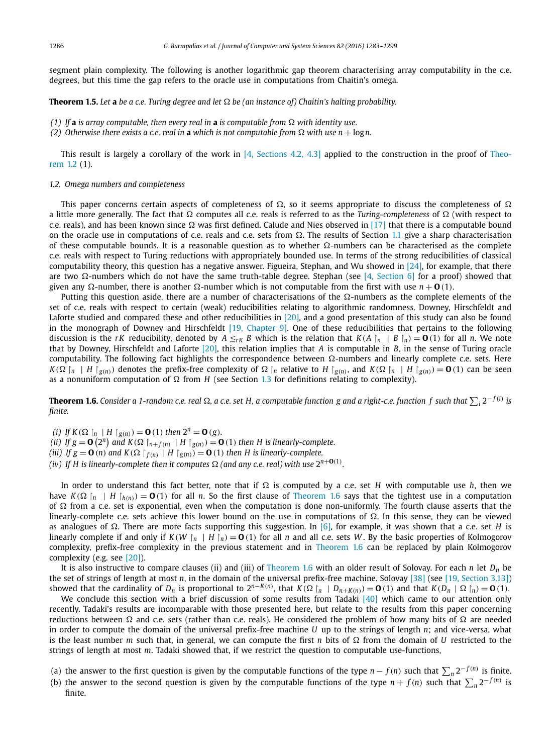<span id="page-3-0"></span>segment plain complexity. The following is another logarithmic gap theorem characterising array computability in the c.e. degrees, but this time the gap refers to the oracle use in computations from Chaitin's omega.

**Theorem 1.5.** Let **a** be a c.e. Turing degree and let  $\Omega$  be (an instance of) Chaitin's halting probability.

- *(1)* If **a** *is array computable, then every real in* **a** *is computable from*  $\Omega$  *with identity use.*
- *(2)* Otherwise there exists a c.e. real in **a** which is not computable from  $\Omega$  with use  $n + \log n$ .

This result is largely a corollary of the work in [4, [Sections 4.2,](#page-15-0) 4.3] applied to the construction in the proof of [Theo](#page-1-0)[rem 1.2](#page-1-0) (1).

#### *1.2. Omega numbers and completeness*

This paper concerns certain aspects of completeness of  $\Omega$ , so it seems appropriate to discuss the completeness of  $\Omega$ a little more generally. The fact that  $\Omega$  computes all c.e. reals is referred to as the *Turing-completeness* of  $\Omega$  (with respect to c.e. reals), and has been known since  $\Omega$  was first defined. Calude and Nies observed in [\[17\]](#page-15-0) that there is a computable bound on the oracle use in computations of c.e. reals and c.e. sets from  $\Omega$ . The results of Section [1.1](#page-1-0) give a sharp characterisation of these computable bounds. It is a reasonable question as to whether  $\Omega$ -numbers can be characterised as the complete c.e. reals with respect to Turing reductions with appropriately bounded use. In terms of the strong reducibilities of classical computability theory, this question has a negative answer. Figueira, Stephan, and Wu showed in [\[24\],](#page-15-0) for example, that there are two  $\Omega$ -numbers which do not have the same truth-table degree. Stephan (see [4, [Section 6\]](#page-15-0) for a proof) showed that given any  $\Omega$ -number, there is another  $\Omega$ -number which is not computable from the first with use  $n + \mathbf{O}(1)$ .

Putting this question aside, there are a number of characterisations of the  $\Omega$ -numbers as the complete elements of the set of c.e. reals with respect to certain (weak) reducibilities relating to algorithmic randomness. Downey, Hirschfeldt and Laforte studied and compared these and other reducibilities in [\[20\],](#page-15-0) and a good presentation of this study can also be found in the monograph of Downey and Hirschfeldt [19, [Chapter](#page-15-0) 9]. One of these reducibilities that pertains to the following discussion is the rK reducibility, denoted by  $A \leq_{rK} B$  which is the relation that  $K(A \mid n \mid B \mid n) = 0$  (1) for all n. We note that by Downey, Hirschfeldt and Laforte [\[20\],](#page-15-0) this relation implies that *A* is computable in *B*, in the sense of Turing oracle computability. The following fact highlights the correspondence between  $\Omega$ -numbers and linearly complete c.e. sets. Here  $K(\Omega)$   $\upharpoonright_n$  | H  $\upharpoonright_{g(n)}$ ) denotes the prefix-free complexity of  $\Omega$   $\upharpoonright_n$  relative to H  $\upharpoonright_{g(n)}$ , and  $K(\Omega)$   $\upharpoonright_n$  | H  $\upharpoonright_{g(n)}$ ) = **O**(1) can be seen as a nonuniform computation of  $\Omega$  from *H* (see Section [1.3](#page-4-0) for definitions relating to complexity).

**Theorem 1.6.** Consider a 1-random c.e. real  $\Omega$ , a c.e. set H, a computable function g and a right-c.e. function  $f$  such that  $\sum_i 2^{-f(i)}$  is *finite.*

- *(i) If*  $K(\Omega \upharpoonright_n | H \upharpoonright_{g(n)}) = \mathbf{0}(1)$  *then*  $2^n = \mathbf{0}(g)$ *.*
- (ii) If  $g = \mathbf{O}(2^n)$  and  $K(\Omega \mid_{n+f(n)} | H \mid_{g(n)}) = \mathbf{O}(1)$  then H is linearly-complete.
- (iii) If  $g = \mathbf{0}$  (n) and  $K(\Omega |_{f(n)}) | H |_{g(n)} = \mathbf{0} (1)$  then H is linearly-complete.
- (iv) If H is linearly-complete then it computes  $\Omega$  (and any c.e. real) with use  $2^{n+\mathbf{O}(1)}$ .

In order to understand this fact better, note that if  $\Omega$  is computed by a c.e. set *H* with computable use *h*, then we have  $K(\Omega \mid n \mid H \mid h(n)) = \mathbf{0}$  (1) for all *n*. So the first clause of Theorem 1.6 says that the tightest use in a computation of  $\Omega$  from a c.e. set is exponential, even when the computation is done non-uniformly. The fourth clause asserts that the linearly-complete c.e. sets achieve this lower bound on the use in computations of  $\Omega$ . In this sense, they can be viewed as analogues of  $\Omega$ . There are more facts supporting this suggestion. In [\[6\],](#page-15-0) for example, it was shown that a c.e. set *H* is linearly complete if and only if  $K(W \mid n \mid H \mid n) = \mathbf{0}$  (1) for all *n* and all c.e. sets *W*. By the basic properties of Kolmogorov complexity, prefix-free complexity in the previous statement and in Theorem 1.6 can be replaced by plain Kolmogorov complexity (e.g. see [\[20\]\)](#page-15-0).

It is also instructive to compare clauses (ii) and (iii) of Theorem 1.6 with an older result of Solovay. For each *n* let  $D_n$  be the set of strings of length at most *n*, in the domain of the universal prefix-free machine. Solovay [\[38\]](#page-16-0) (see [19, [Section 3.13\]\)](#page-15-0) showed that the cardinality of  $D_n$  is proportional to  $2^{n-K(n)}$ , that  $K(\Omega \mid n \mid D_{n+K(n)}) = \mathbf{0}(1)$  and that  $K(D_n \mid \Omega \mid n) = \mathbf{0}(1)$ .

We conclude this section with a brief discussion of some results from Tadaki  $[40]$  which came to our attention only recently. Tadaki's results are incomparable with those presented here, but relate to the results from this paper concerning reductions between  $\Omega$  and c.e. sets (rather than c.e. reals). He considered the problem of how many bits of  $\Omega$  are needed in order to compute the domain of the universal prefix-free machine *U* up to the strings of length *n*; and vice-versa, what is the least number *m* such that, in general, we can compute the first *n* bits of  $\Omega$  from the domain of *U* restricted to the strings of length at most *m*. Tadaki showed that, if we restrict the question to computable use-functions,

- (a) the answer to the first question is given by the computable functions of the type  $n f(n)$  such that  $\sum_n 2^{-f(n)}$  is finite.
- (b) the answer to the second question is given by the computable functions of the type  $n + f(n)$  such that  $\sum_n 2^{-f(n)}$  is finite.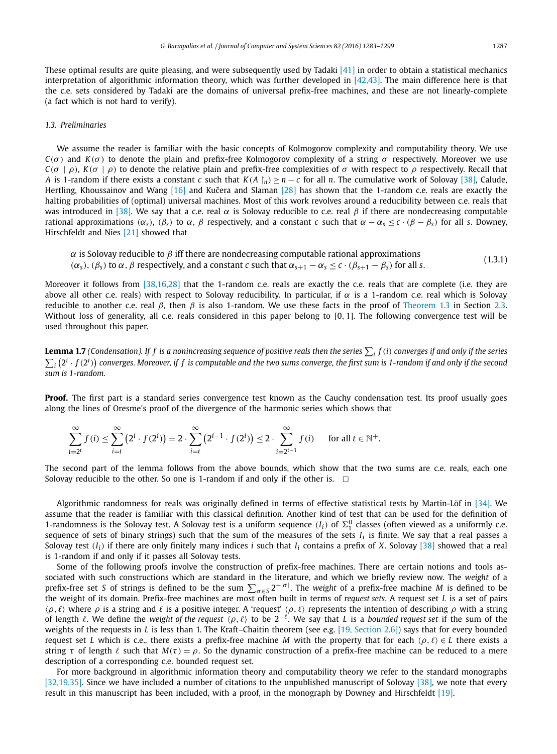<span id="page-4-0"></span>These optimal results are quite pleasing, and were subsequently used by Tadaki  $[41]$  in order to obtain a statistical mechanics interpretation of algorithmic information theory, which was further developed in [\[42,43\].](#page-16-0) The main difference here is that the c.e. sets considered by Tadaki are the domains of universal prefix-free machines, and these are not linearly-complete (a fact which is not hard to verify).

# *1.3. Preliminaries*

We assume the reader is familiar with the basic concepts of Kolmogorov complexity and computability theory. We use *C*( $σ$ ) and *K*( $σ$ ) to denote the plain and prefix-free Kolmogorov complexity of a string  $σ$  respectively. Moreover we use *C*( $\sigma$  |  $\rho$ ), *K*( $\sigma$  |  $\rho$ ) to denote the relative plain and prefix-free complexities of  $\sigma$  with respect to  $\rho$  respectively. Recall that *A* is 1-random if there exists a constant *c* such that  $K(A \nvert n) \ge n - c$  for all *n*. The cumulative work of Solovay [\[38\],](#page-16-0) Calude, Hertling, Khoussainov and Wang  $[16]$  and Kučera and Slaman  $[28]$  has shown that the 1-random c.e. reals are exactly the halting probabilities of (optimal) universal machines. Most of this work revolves around a reducibility between c.e. reals that was introduced in [\[38\].](#page-16-0) We say that a c.e. real  $\alpha$  is Solovay reducible to c.e. real  $\beta$  if there are nondecreasing computable *rational approximations* ( $\alpha_s$ ), ( $\beta_s$ ) to  $\alpha$ ,  $\beta$  respectively, and a constant *c* such that  $\alpha - \alpha_s \leq c \cdot (\beta - \beta_s)$  for all *s*. Downey, Hirschfeldt and Nies [\[21\]](#page-15-0) showed that

 $\alpha$  is Solovay reducible to  $\beta$  iff there are nondecreasing computable rational approximations *(α<sub>s</sub>*), *(β<sub>s</sub>*) to *α*, *β* respectively, and a constant *c* such that  $\alpha_{s+1} - \alpha_s \le c \cdot (\beta_{s+1} - \beta_s)$  for all *s*. (1.3.1)

Moreover it follows from [\[38,16,28\]](#page-16-0) that the 1-random c.e. reals are exactly the c.e. reals that are complete (i.e. they are above all other c.e. reals) with respect to Solovay reducibility. In particular, if  $\alpha$  is a 1-random c.e. real which is Solovay reducible to another c.e. real β, then β is also 1-random. We use these facts in the proof of [Theorem 1.3](#page-2-0) in Section [2.3.](#page-6-0) Without loss of generality, all c.e. reals considered in this paper belong to [0*,* 1]. The following convergence test will be used throughout this paper.

**Lemma 1.7** (Condensation). If  $f$  is a nonincreasing sequence of positive reals then the series  $\sum_i f(i)$  converges if and only if the series  $\sum_i\left(2^i\cdot f(2^i)\right)$  converges. Moreover, if  $f$  is computable and the two sums converge, the first sum is 1-random if and only if the second *sum is 1-random.*

Proof. The first part is a standard series convergence test known as the Cauchy condensation test. Its proof usually goes along the lines of Oresme's proof of the divergence of the harmonic series which shows that

$$
\sum_{i=2^{t}}^{\infty} f(i) \leq \sum_{i=t}^{\infty} (2^{i} \cdot f(2^{i})) = 2 \cdot \sum_{i=t}^{\infty} (2^{i-1} \cdot f(2^{i})) \leq 2 \cdot \sum_{i=2^{t-1}}^{\infty} f(i) \quad \text{for all } t \in \mathbb{N}^{+}.
$$

The second part of the lemma follows from the above bounds, which show that the two sums are c.e. reals, each one Solovay reducible to the other. So one is 1-random if and only if the other is.  $\Box$ 

Algorithmic randomness for reals was originally defined in terms of effective statistical tests by Martin-Löf in [\[34\].](#page-16-0) We assume that the reader is familiar with this classical definition. Another kind of test that can be used for the definition of 1-randomness is the Solovay test. A Solovay test is a uniform sequence  $(I_i)$  of  $\Sigma^0_1$  classes (often viewed as a uniformly c.e. sequence of sets of binary strings) such that the sum of the measures of the sets  $I_i$  is finite. We say that a real passes a Solovay test  $(I_i)$  if there are only finitely many indices *i* such that  $I_i$  contains a prefix of *X*. Solovay [\[38\]](#page-16-0) showed that a real is 1-random if and only if it passes all Solovay tests.

Some of the following proofs involve the construction of prefix-free machines. There are certain notions and tools associated with such constructions which are standard in the literature, and which we briefly review now. The *weight* of a prefix-free set *S* of strings is defined to be the sum  $\sum_{\sigma \in S} 2^{-|\sigma|}$ . The *weight* of a prefix-free machine *M* is defined to be the weight of its domain. Prefix-free machines are most often built in terms of *request sets*. A request set *L* is a set of pairs  $\langle \rho, \ell \rangle$  where  $\rho$  is a string and  $\ell$  is a positive integer. A 'request'  $\langle \rho, \ell \rangle$  represents the intention of describing  $\rho$  with a string of length  $\ell$ . We define the *weight* of the *request*  $\langle \rho, \ell \rangle$  to be  $2^{-\ell}$ . We say that *L* is a *bounded request* set if the sum of the weights of the requests in *L* is less than 1. The Kraft–Chaitin theorem (see e.g. [19, [Section 2.6\]\)](#page-15-0) says that for every bounded request set *L* which is c.e., there exists a prefix-free machine *M* with the property that for each  $\langle \rho, \ell \rangle \in L$  there exists a string τ of length  $\ell$  such that  $M(\tau) = \rho$ . So the dynamic construction of a prefix-free machine can be reduced to a mere description of a corresponding c.e. bounded request set.

For more background in algorithmic information theory and computability theory we refer to the standard monographs [\[32,19,35\].](#page-16-0) Since we have included a number of citations to the unpublished manuscript of Solovay [\[38\],](#page-16-0) we note that every result in this manuscript has been included, with a proof, in the monograph by Downey and Hirschfeldt [\[19\].](#page-15-0)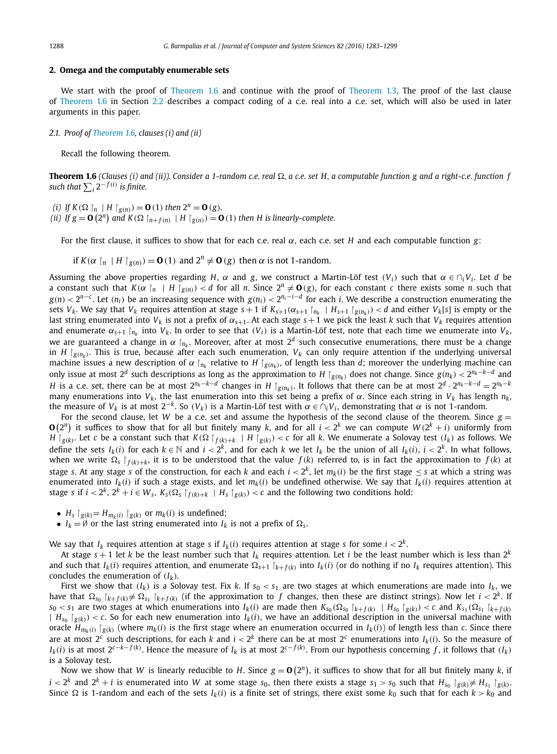#### <span id="page-5-0"></span>**2. Omega and the computably enumerable sets**

We start with the proof of [Theorem 1.6](#page-3-0) and continue with the proof of [Theorem 1.3.](#page-2-0) The proof of the last clause of [Theorem 1.6](#page-3-0) in Section [2.2](#page-6-0) describes a compact coding of a c.e. real into a c.e. set, which will also be used in later arguments in this paper.

# *2.1. Proof of [Theorem 1.6,](#page-3-0) clauses (i) and (ii)*

Recall the following theorem.

**Theorem 1.6** (Clauses (i) and (ii)). Consider a 1-random c.e. real  $\Omega$ , a c.e. set H, a computable function g and a right-c.e. function f  $\int$  *such that*  $\sum_i 2^{-f(i)}$  *is finite.* 

*(i) If*  $K(\Omega \restriction_n | H \restriction_{g(n)}) = \mathbf{0}(1)$  *then*  $2^n = \mathbf{0}(g)$ *.* 

(ii) If  $g = \mathbf{O}(2^n)$  and  $K(\Omega \mid_{n+f(n)} | H \mid_{g(n)}) = \mathbf{O}(1)$  then H is linearly-complete.

For the first clause, it suffices to show that for each c.e. real α, each c.e. set *H* and each computable function *g*:

if  $K(\alpha |_{n} | H |_{g(n)}) = \mathbf{0} (1)$  and  $2^{n} \neq \mathbf{0} (g)$  then  $\alpha$  is not 1-random.

Assuming the above properties regarding *H*,  $\alpha$  and *g*, we construct a Martin-Löf test  $(V_i)$  such that  $\alpha \in \bigcap_i V_i$ . Let *d* be a constant such that  $K(\alpha |_{n} | H |_{g(n)}) < d$  for all *n*. Since  $2^{n} \neq \mathbf{0}$  (g), for each constant *c* there exists some *n* such that  $g(n) < 2^{n-c}$ . Let  $(n_i)$  be an increasing sequence with  $g(n_i) < 2^{n_i - i - d}$  for each *i*. We describe a construction enumerating the sets  $V_k$ . We say that  $V_k$  requires attention at stage  $s+1$  if  $K_{s+1}(\alpha_{s+1} \upharpoonright_{R_k} |H_{s+1} \upharpoonright_{S(\eta_k)}) < d$  and either  $V_k[s]$  is empty or the last string enumerated into  $V_k$  is not a prefix of  $\alpha_{s+1}$ . At each stage  $s+1$  we pick the least *k* such that  $V_k$  requires attention and enumerate  $\alpha_{s+1}$   $\vert_{n_k}$  into  $V_k$ . In order to see that  $(V_i)$  is a Martin-Löf test, note that each time we enumerate into  $V_k$ , we are guaranteed a change in  $\alpha \mid_{n_k}$ . Moreover, after at most  $2^d$  such consecutive enumerations, there must be a change in *H*  $|g(n_k)$ . This is true, because after each such enumeration,  $V_k$  can only require attention if the underlying universal machine issues a new description of  $\alpha \mid_{n_k}$  relative to  $H \mid_{g(n_k)}$ , of length less than *d*; moreover the underlying machine can only issue at most  $2^d$  such descriptions as long as the approximation to *H*  $|g_{n_k}|$  does not change. Since  $g(n_k) < 2^{n_k-k-d}$  and H is a c.e. set, there can be at most  $2^{n_k-k-d}$  changes in H  $|g_{(n_k)}|$ . It follows that there can be at most  $2^d \cdot 2^{n_k-k-d} = 2^{n_k-k}$ many enumerations into *Vk*, the last enumeration into this set being a prefix of α. Since each string in *Vk* has length *nk*, the measure of *V<sub>k</sub>* is at most 2<sup>−*k*</sup>. So *(V<sub>k</sub>*) is a Martin-Löf test with  $\alpha$  ∈ ∩<sub>*i</sub>V<sub>i</sub>*, demonstrating that  $\alpha$  is not 1-random.</sub>

For the second clause, let *W* be a c.e. set and assume the hypothesis of the second clause of the theorem. Since  $g =$  $O(2^n)$  it suffices to show that for all but finitely many *k*, and for all  $i < 2^k$  we can compute  $W(2^k + i)$  uniformly from  $H\upharpoonright_{g(k)}$ . Let c be a constant such that  $K(\Omega\upharpoonright_{f(k)+k}+H\upharpoonright_{g(k)}) < c$  for all k. We enumerate a Solovay test  $(I_k)$  as follows. We define the sets  $I_k(i)$  for each  $k \in \mathbb{N}$  and  $i < 2^k$ , and for each k we let  $I_k$  be the union of all  $I_k(i)$ ,  $i < 2^k$ . In what follows, when we write  $\Omega_s$   $\upharpoonright_{f(k)+k}$ , it is to be understood that the value  $f(k)$  referred to, is in fact the approximation to  $f(k)$  at stage *s*. At any stage *s* of the construction, for each *k* and each  $i < 2<sup>k</sup>$ , let  $m<sub>k</sub>(i)$  be the first stage  $\leq$  *s* at which a string was enumerated into  $I_k(i)$  if such a stage exists, and let  $m_k(i)$  be undefined otherwise. We say that  $I_k(i)$  requires attention at stage s if  $i < 2^k$ ,  $2^k + i \in W_s$ ,  $K_s(\Omega_s \upharpoonright_{f(k)+k} |H_s \upharpoonright_{g(k)}) < c$  and the following two conditions hold:

- $H_s \upharpoonright g(k) = H_{m_k(i)} \upharpoonright g(k)$  or  $m_k(i)$  is undefined;
- $I_k = \emptyset$  or the last string enumerated into  $I_k$  is not a prefix of  $\Omega_s$ .

We say that  $I_k$  requires attention at stage *s* if  $I_k(i)$  requires attention at stage *s* for some  $i < 2^k$ .

At stage  $s + 1$  let *k* be the least number such that  $I_k$  requires attention. Let *i* be the least number which is less than  $2^k$ and such that  $I_k(i)$  requires attention, and enumerate  $\Omega_{s+1}$  [ $k+f(k)$  into  $I_k(i)$  (or do nothing if no  $I_k$  requires attention). This concludes the enumeration of *(Ik)*.

First we show that  $(I_k)$  is a Solovay test. Fix *k*. If  $s_0 < s_1$  are two stages at which enumerations are made into  $I_k$ , we have that  $\Omega_{s_0}$   $\vert_{k+f(k)} \neq \Omega_{s_1}$   $\vert_{k+f(k)}$  (if the approximation to f changes, then these are distinct strings). Now let  $i < 2^k$ . If  $s_0 < s_1$  are two stages at which enumerations into  $I_k(i)$  are made then  $K_{s_0}(\Omega_{s_0} | k + f(k) | H_{s_0} | g(k)) < c$  and  $K_{s_1}(\Omega_{s_1} | k + f(k) | h(k)$  $|H_{s_0}|_{g(k)} < c$ . So for each new enumeration into  $I_k(i)$ , we have an additional description in the universal machine with oracle  $H_{m_k(i)}$   $\vert g_{(k)}$  (where  $m_k(i)$  is the first stage where an enumeration occurred in  $I_k(i)$ ) of length less than c. Since there are at most  $2^c$  such descriptions, for each *k* and  $i < 2^k$  there can be at most  $2^c$  enumerations into  $I_k(i)$ . So the measure of  $I_k(i)$  is at most 2<sup>c—k—f(k)</sup>. Hence the measure of  $I_k$  is at most 2<sup>c—f(k)</sup>. From our hypothesis concerning  $f$ , it follows that (I<sub>k</sub>) is a Solovay test.

Now we show that *W* is linearly reducible to *H*. Since  $g = \mathbf{0}(2^n)$ , it suffices to show that for all but finitely many *k*, if  $i < 2^k$  and  $2^k + i$  is enumerated into W at some stage  $s_0$ , then there exists a stage  $s_1 > s_0$  such that  $H_{s_0} \upharpoonright_{g(k)} \neq H_{s_1} \upharpoonright_{g(k)}$ . Since  $\Omega$  is 1-random and each of the sets  $I_k(i)$  is a finite set of strings, there exist some  $k_0$  such that for each  $k > k_0$  and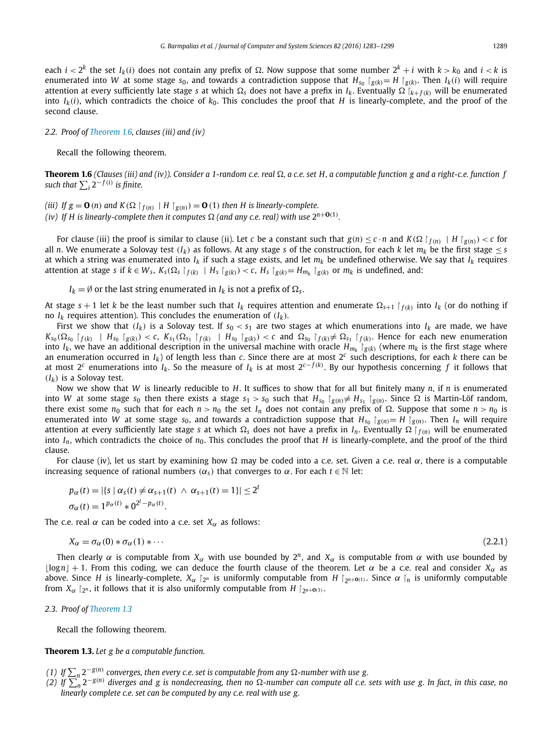<span id="page-6-0"></span>each  $i < 2^k$  the set  $I_k(i)$  does not contain any prefix of  $\Omega$ . Now suppose that some number  $2^k + i$  with  $k > k_0$  and  $i < k$  is enumerated into W at some stage  $s_0$ , and towards a contradiction suppose that  $H_{s_0}$   $\mid g(k) = H \mid g(k)$ . Then  $I_k(i)$  will require attention at every sufficiently late stage *s* at which  $\Omega_s$  does not have a prefix in  $I_k$ . Eventually  $\Omega_{k+f(k)}$  will be enumerated into  $I_k(i)$ , which contradicts the choice of  $k_0$ . This concludes the proof that *H* is linearly-complete, and the proof of the second clause.

# *2.2. Proof of [Theorem 1.6,](#page-3-0) clauses (iii) and (iv)*

Recall the following theorem.

**Theorem 1.6** (Clauses (iii) and (iv)). Consider a 1-random c.e. real  $\Omega$ , a c.e. set H, a computable function g and a right-c.e. function f  $\sup$  *such that*  $\sum_i 2^{-f(i)}$  *is finite.* 

(iii) If  $g = \mathbf{0}$  (n) and  $K(\Omega \upharpoonright_{f(n)} | H \upharpoonright_{g(n)}) = \mathbf{0}$  (1) then H is linearly-complete.

(iv) If H is linearly-complete then it computes  $\Omega$  (and any c.e. real) with use  $2^{n+\mathbf{O}(1)}$ .

For clause (iii) the proof is similar to clause (ii). Let c be a constant such that  $g(n) \leq c \cdot n$  and  $K(\Omega \restriction_{f(n)} |H \restriction_{g(n)}) < c$  for all *n*. We enumerate a Solovay test  $(I_k)$  as follows. At any stage *s* of the construction, for each *k* let  $m_k$  be the first stage  $\leq s$ at which a string was enumerated into *Ik* if such a stage exists, and let *mk* be undefined otherwise. We say that *Ik* requires attention at stage s if  $k \in W_s$ ,  $K_s(\Omega_s |_{f(k)}) | H_s |_{g(k)}) < c$ ,  $H_s |_{g(k)} = H_{m_k} |_{g(k)}$  or  $m_k$  is undefined, and:

 $I_k = \emptyset$  or the last string enumerated in  $I_k$  is not a prefix of  $\Omega_s$ .

At stage  $s + 1$  let *k* be the least number such that  $I_k$  requires attention and enumerate  $\Omega_{s+1} \restriction f(k)$  into  $I_k$  (or do nothing if no  $I_k$  requires attention). This concludes the enumeration of  $(I_k)$ .

First we show that  $(I_k)$  is a Solovay test. If  $s_0 < s_1$  are two stages at which enumerations into  $I_k$  are made, we have  $K_{s_0}(\Omega_{s_0} \upharpoonright_{f(k)} \upharpoonright H_{s_0} \upharpoonright_{g(k)}) < c$ ,  $K_{s_1}(\Omega_{s_1} \upharpoonright_{f(k)} \upharpoonright H_{s_0} \upharpoonright_{g(k)}) < c$  and  $\Omega_{s_0} \upharpoonright_{f(k)} \neq \Omega_{s_1} \upharpoonright_{f(k)}$ . Hence for each new enumeration into  $I_k$ , we have an additional description in the universal machine with oracle  $H_{m_k}$  | $g(k)$  (where  $m_k$  is the first stage where an enumeration occurred in  $I_k$ ) of length less than *c*. Since there are at most  $2^c$  such descriptions, for each *k* there can be at most 2*<sup>c</sup>* enumerations into *Ik*. So the measure of *Ik* is at most 2*c*<sup>−</sup> *<sup>f</sup> (k)* . By our hypothesis concerning *f* it follows that  $(I_k)$  is a Solovay test.

Now we show that *W* is linearly reducible to *H*. It suffices to show that for all but finitely many *n*, if *n* is enumerated into W at some stage s<sub>0</sub> then there exists a stage s<sub>1</sub> > s<sub>0</sub> such that  $H_{s_0} \upharpoonright_{g(n)} \neq H_{s_1} \upharpoonright_{g(n)}$ . Since  $\Omega$  is Martin-Löf random, there exist some  $n_0$  such that for each  $n > n_0$  the set  $I_n$  does not contain any prefix of  $\Omega$ . Suppose that some  $n > n_0$  is enumerated into *W* at some stage  $s_0$ , and towards a contradiction suppose that  $H_{s_0} \mid g(n) = H \mid g(n)$ . Then  $I_n$  will require attention at every sufficiently late stage *s* at which  $\Omega_s$  does not have a prefix in  $I_n$ . Eventually  $\Omega \restriction_{f(n)}$  will be enumerated into  $I_n$ , which contradicts the choice of  $n_0$ . This concludes the proof that *H* is linearly-complete, and the proof of the third clause.

For clause (iv), let us start by examining how  $\Omega$  may be coded into a c.e. set. Given a c.e. real  $\alpha$ , there is a computable increasing sequence of rational numbers  $(\alpha_s)$  that converges to  $\alpha$ . For each  $t \in \mathbb{N}$  let:

$$
p_{\alpha}(t) = |\{s \mid \alpha_{s}(t) \neq \alpha_{s+1}(t) \land \alpha_{s+1}(t) = 1\}| \leq 2^{t}
$$
  

$$
\sigma_{\alpha}(t) = 1^{p_{\alpha}(t)} * 0^{2^{t} - p_{\alpha}(t)}.
$$

The c.e. real  $\alpha$  can be coded into a c.e. set  $X_{\alpha}$  as follows:

$$
X_{\alpha} = \sigma_{\alpha}(0) * \sigma_{\alpha}(1) * \cdots \tag{2.2.1}
$$

Then clearly  $\alpha$  is computable from  $X_\alpha$  with use bounded by  $2^n$ , and  $X_\alpha$  is computable from  $\alpha$  with use bounded by  $\lfloor \log n \rfloor + 1$ . From this coding, we can deduce the fourth clause of the theorem. Let  $\alpha$  be a c.e. real and consider  $X_\alpha$  as above. Since *H* is linearly-complete,  $X_\alpha$  |  $2^n$  is uniformly computable from *H* |  $2^{n+1}$ (1). Since  $\alpha$  |  $\alpha$  is uniformly computable from  $X_\alpha$   $\upharpoonright_{2^n}$ , it follows that it is also uniformly computable from  $H \upharpoonright_{2^{n+1}} O(1)$ .

*2.3. Proof of [Theorem 1.3](#page-2-0)*

Recall the following theorem.

# **Theorem 1.3.** *Let g be a computable function.*

- (1) If  $\sum_n 2^{-g(n)}$  converges, then every c.e. set is computable from any  $\Omega$ -number with use g.
- (2) If  $\sum_{n=0}^{\infty} 2^{-g(n)}$  diverges and g is nondecreasing, then no  $\Omega$ -number can compute all c.e. sets with use g. In fact, in this case, no *linearly complete c.e. set can be computed by any c.e. real with use g.*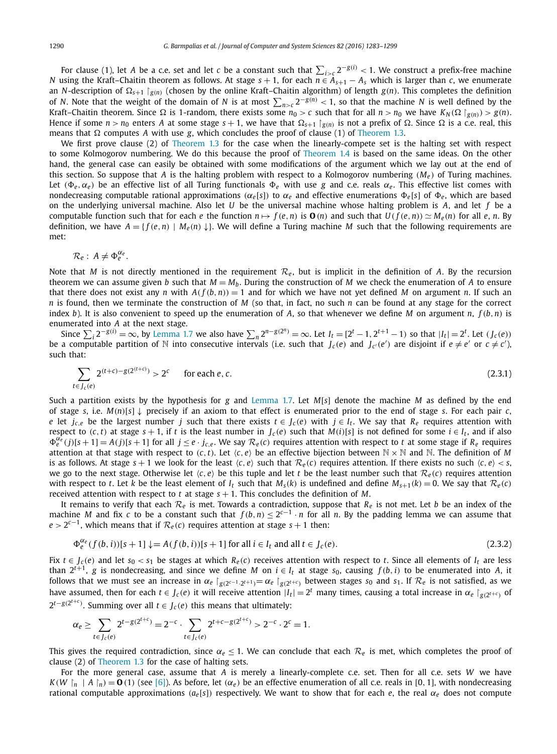For clause (1), let *A* be a c.e. set and let *c* be a constant such that  $\sum_{i>c} 2^{-g(i)} < 1$ . We construct a prefix-free machine *N* using the Kraft–Chaitin theorem as follows. At stage  $s + 1$ , for each  $n \in A_{s+1} - A_s$  which is larger than *c*, we enumerate an *N*-description of  $\Omega_{s+1}$   $\restriction_{g(n)}$  (chosen by the online Kraft–Chaitin algorithm) of length  $g(n)$ . This completes the definition of *N*. Note that the weight of the domain of *N* is at most  $\sum_{n>c} 2^{-g(n)} < 1$ , so that the machine *N* is well defined by the Kraft–Chaitin theorem. Since  $\Omega$  is 1-random, there exists some  $n_0 > c$  such that for all  $n > n_0$  we have  $K_N(\Omega | g(n)) > g(n)$ . Hence if some  $n > n_0$  enters *A* at some stage  $s + 1$ , we have that  $\Omega_{s+1} \mid_{g(n)}$  is not a prefix of  $\Omega$ . Since  $\Omega$  is a c.e. real, this means that  $\Omega$  computes A with use *g*, which concludes the proof of clause (1) of [Theorem 1.3.](#page-2-0)

We first prove clause (2) of [Theorem 1.3](#page-2-0) for the case when the linearly-compete set is the halting set with respect to some Kolmogorov numbering. We do this because the proof of [Theorem 1.4](#page-2-0) is based on the same ideas. On the other hand, the general case can easily be obtained with some modifications of the argument which we lay out at the end of this section. So suppose that *A* is the halting problem with respect to a Kolmogorov numbering  $(M_e)$  of Turing machines. Let  $(\Phi_e, \alpha_e)$  be an effective list of all Turing functionals  $\Phi_e$  with use *g* and c.e. reals  $\alpha_e$ . This effective list comes with nondecreasing computable rational approximations  $(\alpha_e[s])$  to  $\alpha_e$  and effective enumerations  $\Phi_e[s]$  of  $\Phi_e$ , which are based on the underlying universal machine. Also let *U* be the universal machine whose halting problem is *A*, and let *f* be a computable function such that for each e the function  $n \mapsto f(e, n)$  is  $\mathbf{O}(n)$  and such that  $U(f(e, n)) \simeq M_e(n)$  for all e, n. By definition, we have  $A = \{f(e, n) \mid M_e(n) \downarrow\}$ . We will define a Turing machine M such that the following requirements are met:

$$
\mathcal{R}_e: A \neq \Phi_e^{\alpha_e}.
$$

Note that *M* is not directly mentioned in the requirement  $\mathcal{R}_e$ , but is implicit in the definition of *A*. By the recursion theorem we can assume given *b* such that  $M = M_b$ . During the construction of *M* we check the enumeration of *A* to ensure that there does not exist any *n* with  $A(f(b, n)) = 1$  and for which we have not yet defined *M* on argument *n*. If such an *n* is found, then we terminate the construction of *M* (so that, in fact, no such *n* can be found at any stage for the correct index *b*). It is also convenient to speed up the enumeration of *A*, so that whenever we define *M* on argument *n*, *f (b,n)* is enumerated into *A* at the next stage.

Since  $\sum_i 2^{-g(i)} = \infty$ , by [Lemma 1.7](#page-4-0) we also have  $\sum_n 2^{n-g(2^n)} = \infty$ . Let  $I_t = [2^t - 1, 2^{t+1} - 1)$  so that  $|I_t| = 2^t$ . Let  $(J_c(e))$ be a computable partition of N into consecutive intervals (i.e. such that  $J_c(e)$  and  $J_{c'}(e')$  are disjoint if  $e\neq e'$  or  $c\neq c'$ ), such that:

$$
\sum_{t \in J_c(e)} 2^{(t+c)-g(2^{(t+c)})} > 2^c \qquad \text{for each } e, c. \tag{2.3.1}
$$

Such a partition exists by the hypothesis for *g* and [Lemma 1.7.](#page-4-0) Let *M*[*s*] denote the machine *M* as defined by the end of stage *s*, i.e.  $M(n)[s] \downarrow$  precisely if an axiom to that effect is enumerated prior to the end of stage *s*. For each pair *c*, *e* let *j<sub>c</sub>*,*e* be the largest number *j* such that there exists  $t \in J_c(e)$  with  $j \in I_t$ . We say that  $R_e$  requires attention with respect to (c, t) at stage  $s + 1$ , if t is the least number in  $J_c(e)$  such that  $M(i)[s]$  is not defined for some  $i \in I_t$ , and if also  $\Phi_e^{\alpha_e}(j)[s+1] = A(j)[s+1]$  for all  $j \leq e \cdot j_{c,e}$ . We say  $\mathcal{R}_e(c)$  requires attention with respect to t at some stage if  $R_e$  requires attention at that stage with respect to  $(c, t)$ . Let  $\langle c, e \rangle$  be an effective bijection between  $\mathbb{N} \times \mathbb{N}$  and  $\mathbb{N}$ . The definition of *M* is as follows. At stage  $s + 1$  we look for the least  $\langle c, e \rangle$  such that  $\mathcal{R}_{e}(c)$  requires attention. If there exists no such  $\langle c, e \rangle < s$ , we go to the next stage. Otherwise let  $\langle c, e \rangle$  be this tuple and let *t* be the least number such that  $\mathcal{R}_e(c)$  requires attention with respect to t. Let k be the least element of  $I_t$  such that  $M_s(k)$  is undefined and define  $M_{s+1}(k) = 0$ . We say that  $\mathcal{R}_e(c)$ received attention with respect to *t* at stage  $s + 1$ . This concludes the definition of *M*.

It remains to verify that each *R<sup>e</sup>* is met. Towards a contradiction, suppose that *Re* is not met. Let *b* be an index of the machine *M* and fix *c* to be a constant such that  $f(b, n) \leq 2^{c-1} \cdot n$  for all *n*. By the padding lemma we can assume that  $e > 2^{c-1}$ , which means that if  $\mathcal{R}_e(c)$  requires attention at stage  $s + 1$  then:

$$
\Phi_e^{\alpha_e}(f(b,i))[s+1] \downarrow = A(f(b,i))[s+1] \text{ for all } i \in I_t \text{ and all } t \in J_c(e).
$$
\n(2.3.2)

Fix  $t \in J_c(e)$  and let  $s_0 < s_1$  be stages at which  $R_e(c)$  receives attention with respect to t. Since all elements of  $I_t$  are less than  $2^{t+1}$ , *g* is nondecreasing, and since we define *M* on  $i \in I_t$  at stage *s*<sub>0</sub>, causing  $f(b, i)$  to be enumerated into *A*, it follows that we must see an increase in  $\alpha_e|_{g(2^{e-1}\cdot 2^{t+1})} = \alpha_e|_{g(2^{t+\epsilon})}$  between stages  $s_0$  and  $s_1$ . If  $\mathcal{R}_e$  is not satisfied, as we have assumed, then for each  $t \in J_c(e)$  it will receive attention  $|I_t| = 2^t$  many times, causing a total increase in  $\alpha_e \upharpoonright_{\sigma(2^{t+c})}$  of  $2^{t-g(2^{t+\epsilon})}$ . Summing over all  $t \in J_c(e)$  this means that ultimately:

$$
\alpha_e \geq \sum_{t \in J_c(e)} 2^{t - g(2^{t+c})} = 2^{-c} \cdot \sum_{t \in J_c(e)} 2^{t + c - g(2^{t+c})} > 2^{-c} \cdot 2^c = 1.
$$

This gives the required contradiction, since  $\alpha_e \leq 1$ . We can conclude that each  $\mathcal{R}_e$  is met, which completes the proof of clause (2) of [Theorem 1.3](#page-2-0) for the case of halting sets.

For the more general case, assume that *A* is merely a linearly-complete c.e. set. Then for all c.e. sets *W* we have  $K(W \mid n \mid A \mid n) = \mathbf{0}$  (1) (see [\[6\]\)](#page-15-0). As before, let  $(\alpha_e)$  be an effective enumeration of all c.e. reals in [0, 1], with nondecreasing rational computable approximations  $(a_e[s])$  respectively. We want to show that for each *e*, the real  $\alpha_e$  does not compute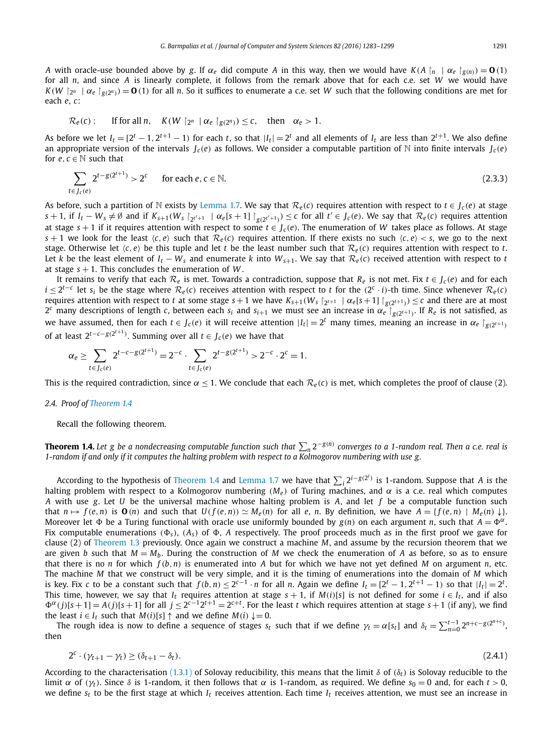<span id="page-8-0"></span>A with oracle-use bounded above by g. If  $\alpha_e$  did compute A in this way, then we would have  $K(A|_{n} | \alpha_e |_{g(n)}) = O(1)$ for all *n*, and since *A* is linearly complete, it follows from the remark above that for each c.e. set *W* we would have  $K(W |_{2^n} | \alpha_e |_{g(2^n)}) = \mathbf{0}$  (1) for all *n*. So it suffices to enumerate a c.e. set *W* such that the following conditions are met for each *e*, *c*:

$$
\mathcal{R}_e(c): \quad \text{If for all } n, \quad K(W \upharpoonright_{2^n} \mid \alpha_e \upharpoonright_{g(2^n)}) \leq c, \quad \text{then} \quad \alpha_e > 1.
$$

As before we let  $I_t = [2^t - 1, 2^{t+1} - 1)$  for each *t*, so that  $|I_t| = 2^t$  and all elements of  $I_t$  are less than  $2^{t+1}$ . We also define an appropriate version of the intervals  $J_c(e)$  as follows. We consider a computable partition of N into finite intervals  $J_c(e)$ for  $e, c \in \mathbb{N}$  such that

$$
\sum_{t \in J_c(e)} 2^{t - g(2^{t+1})} > 2^c \qquad \text{for each } e, c \in \mathbb{N}.\tag{2.3.3}
$$

As before, such a partition of N exists by [Lemma 1.7.](#page-4-0) We say that  $\mathcal{R}_e(c)$  requires attention with respect to  $t \in J_c(e)$  at stage  $s+1$ , if  $I_t - W_s \neq \emptyset$  and if  $K_{s+1}(W_s \restriction_{2^{t'+1}} \ \mid \alpha_e[s+1] \restriction_{g(2^{t'+1})}) \leq c$  for all  $t' \in J_c(e)$ . We say that  $\mathcal{R}_e(c)$  requires attention at stage *s* + 1 if it requires attention with respect to some *t* ∈ *J <sup>c</sup> (e)*. The enumeration of *W* takes place as follows. At stage *s* + 1 we look for the least  $\langle c, e \rangle$  such that  $\mathcal{R}_e(c)$  requires attention. If there exists no such  $\langle c, e \rangle \langle s, w \rangle$  go to the next stage. Otherwise let  $\langle c, e \rangle$  be this tuple and let *t* be the least number such that  $\mathcal{R}_e(c)$  requires attention with respect to *t*. Let *k* be the least element of  $I_t - W_s$  and enumerate *k* into  $W_{s+1}$ . We say that  $\mathcal{R}_e(c)$  received attention with respect to *t* at stage  $s + 1$ . This concludes the enumeration of W.

It remains to verify that each  $\mathcal{R}_e$  is met. Towards a contradiction, suppose that  $R_e$  is not met. Fix  $t \in J_c(e)$  and for each  $i \leq 2^{t-c}$  let  $s_i$  be the stage where  $\mathcal{R}_e(c)$  receives attention with respect to t for the  $(2^c \cdot i)$ -th time. Since whenever  $\mathcal{R}_e(c)$ requires attention with respect to *t* at some stage  $s+1$  we have  $K_{s+1}(W_s|_{2^{t+1}} | \alpha_e[s+1]|_{g(2^{t+1})}) \leq c$  and there are at most  $2^c$  many descriptions of length *c*, between each  $s_i$  and  $s_{i+1}$  we must see an increase in  $\alpha_e$   $\Big|_{g(2^{t+1})}$ . If  $R_e$  is not satisfied, as we have assumed, then for each  $t \in J_c(e)$  it will receive attention  $|I_t| = 2^t$  many times, meaning an increase in  $\alpha_e \upharpoonright_{g(2^{t+1})}$ of at least  $2^{t-c-g(2^{t+1})}$ . Summing over all *t* ∈ *J*<sub>*c*</sub>(*e*) we have that

$$
\alpha_e \geq \sum_{t \in J_c(e)} 2^{t-c-g(2^{t+1})} = 2^{-c} \cdot \sum_{t \in J_c(e)} 2^{t-g(2^{t+1})} > 2^{-c} \cdot 2^c = 1.
$$

This is the required contradiction, since  $\alpha \leq 1$ . We conclude that each  $\mathcal{R}_e(c)$  is met, which completes the proof of clause (2).

# *2.4. Proof of [Theorem 1.4](#page-2-0)*

Recall the following theorem.

**Theorem 1.4.** Let g be a nondecreasing computable function such that  $\sum_n 2^{-g(n)}$  converges to a 1-random real. Then a c.e. real is 1-random if and only if it computes the halting problem with respect to a Kolmogorov numbering with use g.

According to the hypothesis of [Theorem 1.4](#page-2-0) and [Lemma 1.7](#page-4-0) we have that ! *<sup>i</sup>* <sup>2</sup>*i*−*g(*2*<sup>i</sup> )* is 1-random. Suppose that *A* is the halting problem with respect to a Kolmogorov numbering  $(M_e)$  of Turing machines, and  $\alpha$  is a c.e. real which computes *A* with use *g*. Let *U* be the universal machine whose halting problem is *A*, and let *f* be a computable function such that  $n \mapsto f(e, n)$  is  $\mathbf{O}(n)$  and such that  $U(f(e, n)) \simeq M_e(n)$  for all e, n. By definition, we have  $A = \{f(e, n) \mid M_e(n) \downarrow\}$ . Moreover let  $\Phi$  be a Turing functional with oracle use uniformly bounded by  $g(n)$  on each argument *n*, such that  $A = \Phi^{\alpha}$ . Fix computable enumerations  $(\Phi_s)$ ,  $(A_s)$  of  $\Phi$ , *A* respectively. The proof proceeds much as in the first proof we gave for clause (2) of [Theorem 1.3](#page-2-0) previously. Once again we construct a machine *M*, and assume by the recursion theorem that we are given *b* such that  $M = M_b$ . During the construction of *M* we check the enumeration of *A* as before, so as to ensure that there is no *n* for which  $f(b, n)$  is enumerated into *A* but for which we have not yet defined *M* on argument *n*, etc. The machine *M* that we construct will be very simple, and it is the timing of enumerations into the domain of *M* which is key. Fix c to be a constant such that  $f(b,n) \leq 2^{c-1} \cdot n$  for all n. Again we define  $I_t = [2^t - 1, 2^{t+1} - 1)$  so that  $|I_t| = 2^t$ . This time, however, we say that  $I_t$  requires attention at stage  $s + 1$ , if  $M(i)[s]$  is not defined for some  $i \in I_t$ , and if also  $\Phi^{\alpha}(j)[s+1] = A(j)[s+1]$  for all  $j \leq 2^{c-1}2^{t+1} = 2^{c+t}$ . For the least t which requires attention at stage  $s+1$  (if any), we find the least  $i \in I_t$  such that  $M(i)[s] \uparrow$  and we define  $M(i) \downarrow = 0$ .

The rough idea is now to define a sequence of stages  $s_t$  such that if we define  $\gamma_t = \alpha[s_t]$  and  $\delta_t = \sum_{n=0}^{t-1} 2^{n+c-g(2^{n+c})}$ then

$$
2^c \cdot (\gamma_{t+1} - \gamma_t) \ge (\delta_{t+1} - \delta_t). \tag{2.4.1}
$$

According to the characterisation [\(1.3.1\)](#page-4-0) of Solovay reducibility, this means that the limit δ of *(*δ*t)* is Solovay reducible to the limit α of ( $γ<sub>t</sub>$ ). Since  $δ$  is 1-random, it then follows that α is 1-random, as required. We define  $s<sub>0</sub> = 0$  and, for each  $t > 0$ , we define  $s_t$  to be the first stage at which  $I_t$  receives attention. Each time  $I_t$  receives attention, we must see an increase in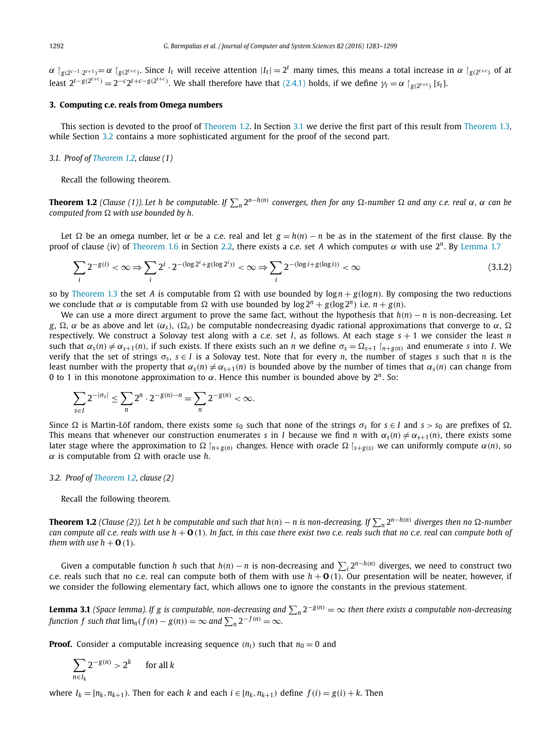<span id="page-9-0"></span> $\alpha \upharpoonright_{g(2^{c-1}\cdot 2^{t+1})} = \alpha \upharpoonright_{g(2^{t+c})}$ . Since  $I_t$  will receive attention  $|I_t| = 2^t$  many times, this means a total increase in  $\alpha \upharpoonright_{g(2^{t+c})}$  of at least  $2^{t-g(2^{t+c})} = 2^{-c}2^{t+c-g(2^{t+c})}$ . We shall therefore have that [\(2.4.1\)](#page-8-0) holds, if we define  $\gamma_t = \alpha \upharpoonright_{g(2^{t+c})} [s_t]$ .

# **3. Computing c.e. reals from Omega numbers**

This section is devoted to the proof of [Theorem 1.2.](#page-1-0) In Section 3.1 we derive the first part of this result from [Theorem 1.3,](#page-2-0) while Section 3.2 contains a more sophisticated argument for the proof of the second part.

# *3.1. Proof of [Theorem 1.2,](#page-1-0) clause (1)*

Recall the following theorem.

**Theorem 1.2** (Clause (1)). Let h be computable. If  $\sum_n 2^{n-h(n)}$  converges, then for any  $\Omega$ -number  $\Omega$  and any c.e. real  $\alpha$ ,  $\alpha$  can be *computed* from  $\Omega$  with use bounded by h.

Let Ω be an omega number, let α be a c.e. real and let  $g = h(n) - n$  be as in the statement of the first clause. By the proof of clause (iv) of [Theorem 1.6](#page-3-0) in Section [2.2,](#page-6-0) there exists a c.e. set *A* which computes α with use  $2<sup>n</sup>$ . By [Lemma 1.7](#page-4-0)

$$
\sum_{i} 2^{-g(i)} < \infty \Rightarrow \sum_{i} 2^{i} \cdot 2^{-(\log 2^{i} + g(\log 2^{i}))} < \infty \Rightarrow \sum_{i} 2^{-(\log i + g(\log i))} < \infty \tag{3.1.2}
$$

so by [Theorem 1.3](#page-2-0) the set *A* is computable from  $\Omega$  with use bounded by  $\log n + g(\log n)$ . By composing the two reductions we conclude that  $\alpha$  is computable from  $\Omega$  with use bounded by  $\log 2^n + g(\log 2^n)$  i.e.  $n + g(n)$ .

We can use a more direct argument to prove the same fact, without the hypothesis that *h(n)* − *n* is non-decreasing. Let *g*,  $\Omega$ , α be as above and let  $(\alpha_s)$ ,  $(\Omega_s)$  be computable nondecreasing dyadic rational approximations that converge to α,  $\Omega$ respectively. We construct a Solovay test along with a c.e. set *I*, as follows. At each stage *s* + 1 we consider the least *n* such that  $\alpha_s(n) \neq \alpha_{s+1}(n)$ , if such exists. If there exists such an *n* we define  $\sigma_s = \Omega_{s+1} \mid_{n \to \infty}(n)$  and enumerate *s* into *I*. We verify that the set of strings  $\sigma_s$ ,  $s \in I$  is a Solovay test. Note that for every *n*, the number of stages *s* such that *n* is the least number with the property that  $\alpha_s(n) \neq \alpha_{s+1}(n)$  is bounded above by the number of times that  $\alpha_s(n)$  can change from 0 to 1 in this monotone approximation to α. Hence this number is bounded above by 2*n*. So:

$$
\sum_{s \in I} 2^{-|\sigma_s|} \le \sum_n 2^n \cdot 2^{-g(n)-n} = \sum_n 2^{-g(n)} < \infty.
$$

Since Ω is Martin-Löf random, there exists some *s*<sub>0</sub> such that none of the strings  $σ_s$  for  $s ∈ I$  and  $s > s_0$  are prefixes of  $Ω$ . This means that whenever our construction enumerates *s* in *I* because we find *n* with  $\alpha_s(n) \neq \alpha_{s+1}(n)$ , there exists some later stage where the approximation to Ω  $\ln_{\text{H-G}(n)}$  changes. Hence with oracle Ω  $\ln_{\text{H-G}(s)}$  we can uniformly compute  $\alpha(n)$ , so  $\alpha$  is computable from  $\Omega$  with oracle use *h*.

# *3.2. Proof of [Theorem 1.2,](#page-1-0) clause (2)*

#### Recall the following theorem.

**Theorem 1.2** (Clause (2)). Let h be computable and such that  $h(n) - n$  is non-decreasing. If  $\sum_n 2^{n-h(n)}$  diverges then no  $\Omega$ -number can compute all c.e. reals with use  $h + O(1)$ . In fact, in this case there exist two c.e. reals such that no c.e. real can compute both of *them with use*  $h + \mathbf{0}$  (1)*.* 

Given a computable function *h* such that  $h(n) - n$  is non-decreasing and  $\sum_i 2^{n-h(n)}$  diverges, we need to construct two c.e. reals such that no c.e. real can compute both of them with use  $h + O(1)$ . Our presentation will be neater, however, if we consider the following elementary fact, which allows one to ignore the constants in the previous statement.

**Lemma 3.1** (Space lemma). If g is computable, non-decreasing and  $\sum_n 2^{-g(n)} = \infty$  then there exists a computable non-decreasing *function f* such that  $\lim_n (f(n) - g(n)) = \infty$  and  $\sum_n 2^{-f(n)} = \infty$ .

**Proof.** Consider a computable increasing sequence  $(n_i)$  such that  $n_0 = 0$  and

$$
\sum_{n\in I_k} 2^{-g(n)} > 2^k \quad \text{for all } k
$$

where  $I_k = [n_k, n_{k+1})$ . Then for each k and each  $i \in [n_k, n_{k+1})$  define  $f(i) = g(i) + k$ . Then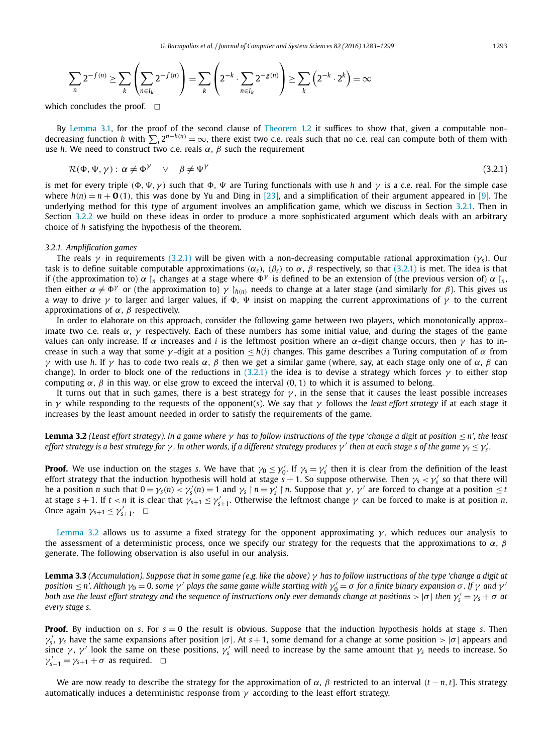<span id="page-10-0"></span>
$$
\sum_{n} 2^{-f(n)} \ge \sum_{k} \left( \sum_{n \in I_k} 2^{-f(n)} \right) = \sum_{k} \left( 2^{-k} \cdot \sum_{n \in I_k} 2^{-g(n)} \right) \ge \sum_{k} \left( 2^{-k} \cdot 2^{k} \right) = \infty
$$

which concludes the proof.  $\Box$ 

By [Lemma 3.1,](#page-9-0) for the proof of the second clause of [Theorem 1.2](#page-1-0) it suffices to show that, given a computable nondecreasing function *h* with  $\sum_i 2^{n-h(n)} = \infty$ , there exist two c.e. reals such that no c.e. real can compute both of them with use *h*. We need to construct two c.e. reals  $\alpha$ ,  $\beta$  such the requirement

$$
\mathcal{R}(\Phi, \Psi, \gamma) : \alpha \neq \Phi^{\gamma} \quad \lor \quad \beta \neq \Psi^{\gamma} \tag{3.2.1}
$$

is met for every triple  $(\Phi, \Psi, \gamma)$  such that  $\Phi, \Psi$  are Turing functionals with use *h* and  $\gamma$  is a c.e. real. For the simple case where  $h(n) = n + \mathbf{O}(1)$ , this was done by Yu and Ding in [\[23\],](#page-15-0) and a simplification of their argument appeared in [\[9\].](#page-15-0) The underlying method for this type of argument involves an amplification game, which we discuss in Section 3.2.1. Then in Section [3.2.2](#page-11-0) we build on these ideas in order to produce a more sophisticated argument which deals with an arbitrary choice of *h* satisfying the hypothesis of the theorem.

# *3.2.1. Amplification games*

The reals  $\gamma$  in requirements (3.2.1) will be given with a non-decreasing computable rational approximation  $(\gamma_5)$ . Our task is to define suitable computable approximations  $(\alpha_s)$ ,  $(\beta_s)$  to  $\alpha$ ,  $\beta$  respectively, so that (3.2.1) is met. The idea is that if (the approximation to)  $\alpha \mid n$  changes at a stage where  $\Phi^{\gamma}$  is defined to be an extension of (the previous version of)  $\alpha \mid n$ , then either  $\alpha \neq \Phi^{\gamma}$  or (the approximation to)  $\gamma \restriction_{h(n)}$  needs to change at a later stage (and similarly for  $\beta$ ). This gives us a way to drive  $γ$  to larger and larger values, if  $Φ$ , Ψ insist on mapping the current approximations of  $γ$  to the current approximations of  $\alpha$ ,  $\beta$  respectively.

In order to elaborate on this approach, consider the following game between two players, which monotonically approximate two c.e. reals  $\alpha$ ,  $\gamma$  respectively. Each of these numbers has some initial value, and during the stages of the game values can only increase. If  $\alpha$  increases and *i* is the leftmost position where an  $\alpha$ -digit change occurs, then  $\gamma$  has to increase in such a way that some  $\gamma$ -digit at a position  $\leq h(i)$  changes. This game describes a Turing computation of α from γ with use *h*. If γ has to code two reals α, β then we get a similar game (where, say, at each stage only one of α, β can change). In order to block one of the reductions in (3.2.1) the idea is to devise a strategy which forces  $\gamma$  to either stop computing  $\alpha$ ,  $\beta$  in this way, or else grow to exceed the interval (0, 1) to which it is assumed to belong.

It turns out that in such games, there is a best strategy for  $\gamma$ , in the sense that it causes the least possible increases in  $\gamma$  while responding to the requests of the opponent(s). We say that  $\gamma$  follows the *least effort strategy* if at each stage it increases by the least amount needed in order to satisfy the requirements of the game.

**Lemma 3.2** (Least effort strategy). In a game where  $\gamma$  has to follow instructions of the type 'change a digit at position  $\leq$  n', the least effort strategy is a best strategy for  $\gamma$ . In other words, if a different strategy produces  $\gamma'$  then at each stage s of the game  $\gamma_{\rm s}\leq\gamma'_{\rm s}.$ 

**Proof.** We use induction on the stages *s*. We have that  $\gamma_0 \leq \gamma'_0$ . If  $\gamma_s = \gamma'_s$  then it is clear from the definition of the least effort strategy that the induction hypothesis will hold at stage  $s+1$ . So suppose otherwise. Then  $\gamma_s<\gamma_s'$  so that there will be a position n such that  $0 = \gamma_s(n) < \gamma_s'(n) = 1$  and  $\gamma_s \upharpoonright n = \gamma_s' \upharpoonright n$ . Suppose that  $\gamma$ ,  $\gamma'$  are forced to change at a position  $\leq t$ at stage  $s + 1$ . If  $t < n$  it is clear that  $\gamma_{s+1} \leq \gamma'_{s+1}$ . Otherwise the leftmost change  $\gamma$  can be forced to make is at position *n*. Once again  $\gamma_{s+1} \leq \gamma'_{s+1}$ .  $\Box$ 

Lemma 3.2 allows us to assume a fixed strategy for the opponent approximating  $\gamma$ , which reduces our analysis to the assessment of a deterministic process, once we specify our strategy for the requests that the approximations to  $\alpha$ ,  $\beta$ generate. The following observation is also useful in our analysis.

**Lemma 3.3** (Accumulation). Suppose that in some game (e.g. like the above)  $\gamma$  has to follow instructions of the type 'change a digit at position  $\leq$  n'. Although  $\gamma_0=$  0, some  $\gamma'$  plays the same game while starting with  $\gamma'_0=\sigma$  for a finite binary expansion  $\sigma$  . If  $\gamma$  and  $\gamma'$ both use the least effort strategy and the sequence of instructions only ever demands change at positions  $>$  | $\sigma$ | then  $\gamma_s'=\gamma_s+\sigma$  at *every stage s.*

**Proof.** By induction on *s*. For *s* = 0 the result is obvious. Suppose that the induction hypothesis holds at stage *s*. Then  $γ'_s$ ,  $γ_s$  have the same expansions after position |σ|. At *s* + 1, some demand for a change at some position > |σ| appears and since  $\gamma$ ,  $\gamma'$  look the same on these positions,  $\gamma_s'$  will need to increase by the same amount that  $\gamma_s$  needs to increase. So  $\gamma'_{s+1} = \gamma_{s+1} + \sigma$  as required.  $\Box$ 

We are now ready to describe the strategy for the approximation of  $\alpha$ ,  $\beta$  restricted to an interval  $(t - n, t]$ . This strategy automatically induces a deterministic response from  $\gamma$  according to the least effort strategy.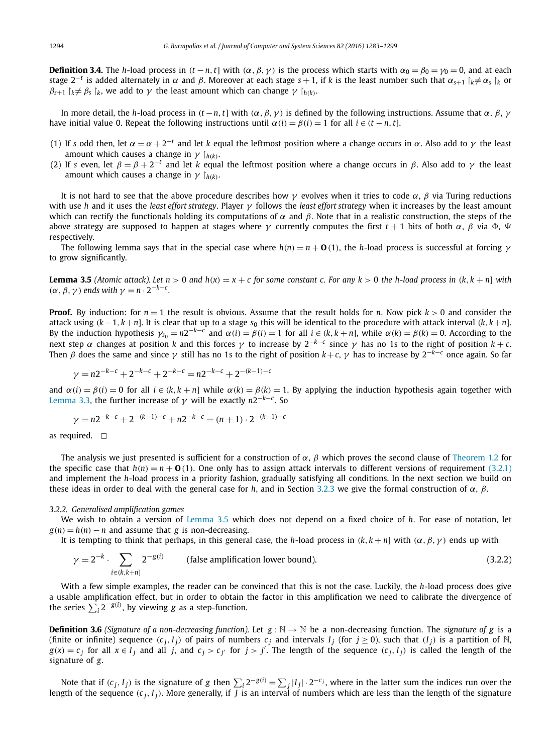<span id="page-11-0"></span>**Definition 3.4.** The *h*-load process in  $(t - n, t]$  with  $(\alpha, \beta, \gamma)$  is the process which starts with  $\alpha_0 = \beta_0 = \gamma_0 = 0$ , and at each stage  $2^{-t}$  is added alternately in  $\alpha$  and  $\beta$ . Moreover at each stage  $s + 1$ , if *k* is the least number such that  $\alpha_{s+1} |_{k \neq \alpha_{s}} |_{k}$  or  $\beta_{s+1}$   $\gamma_k \neq \beta_s$   $\gamma_k$ , we add to  $\gamma$  the least amount which can change  $\gamma \gamma_{h(k)}$ .

In more detail, the *h*-load process in  $(t - n, t]$  with  $(α, β, γ)$  is defined by the following instructions. Assume that  $α, β, γ$ have initial value 0. Repeat the following instructions until  $\alpha(i) = \beta(i) = 1$  for all  $i \in (t - n, t]$ .

- (1) If *s* odd then, let  $\alpha = \alpha + 2^{-t}$  and let *k* equal the leftmost position where a change occurs in  $\alpha$ . Also add to  $\gamma$  the least amount which causes a change in  $\gamma$   $\upharpoonright_{h(k)}$ .
- (2) If *s* even, let  $\beta = \beta + 2^{-t}$  and let *k* equal the leftmost position where a change occurs in  $\beta$ . Also add to  $\gamma$  the least amount which causes a change in  $\gamma$   $\upharpoonright_{h(k)}$ .

It is not hard to see that the above procedure describes how  $\gamma$  evolves when it tries to code  $\alpha$ ,  $\beta$  via Turing reductions with use *h* and it uses the *least effort strategy*. Player γ follows the *least effort strategy* when it increases by the least amount which can rectify the functionals holding its computations of  $\alpha$  and  $\beta$ . Note that in a realistic construction, the steps of the above strategy are supposed to happen at stages where γ currently computes the first  $t + 1$  bits of both  $\alpha$ ,  $\beta$  via  $\Phi$ ,  $\Psi$ respectively.

The following lemma says that in the special case where  $h(n) = n + \mathbf{O}(1)$ , the *h*-load process is successful at forcing  $\gamma$ to grow significantly.

**Lemma 3.5** (Atomic attack). Let  $n > 0$  and  $h(x) = x + c$  for some constant c. For any  $k > 0$  the h-load process in  $(k, k + n]$  with  $(\alpha, \beta, \gamma)$  *ends with*  $\gamma = n \cdot 2^{-k-c}$ *.* 

**Proof.** By induction: for  $n = 1$  the result is obvious. Assume that the result holds for *n*. Now pick  $k > 0$  and consider the attack using  $(k-1, k+n]$ . It is clear that up to a stage  $s<sub>0</sub>$  this will be identical to the procedure with attack interval  $(k, k+n]$ . By the induction hypothesis  $\gamma_{s_0} = n2^{-k-c}$  and  $\alpha(i) = \beta(i) = 1$  for all  $i \in (k, k+n]$ , while  $\alpha(k) = \beta(k) = 0$ . According to the next step α changes at position *k* and this forces γ to increase by  $2^{-k-c}$  since γ has no 1s to the right of position  $k+c$ . Then β does the same and since  $\gamma$  still has no 1s to the right of position  $k+c$ ,  $\gamma$  has to increase by  $2^{-k-c}$  once again. So far

$$
\gamma = n2^{-k-c} + 2^{-k-c} + 2^{-k-c} = n2^{-k-c} + 2^{-(k-1)-c}
$$

and  $\alpha(i) = \beta(i) = 0$  for all  $i \in (k, k + n]$  while  $\alpha(k) = \beta(k) = 1$ . By applying the induction hypothesis again together with [Lemma 3.3,](#page-10-0) the further increase of γ will be exactly  $n2^{-k−c}$ . So

$$
\gamma = n2^{-k-c} + 2^{-(k-1)-c} + n2^{-k-c} = (n+1) \cdot 2^{-(k-1)-c}
$$

as required.  $\square$ 

The analysis we just presented is sufficient for a construction of  $\alpha$ ,  $\beta$  which proves the second clause of [Theorem 1.2](#page-1-0) for the specific case that  $h(n) = n + O(1)$ . One only has to assign attack intervals to different versions of requirement [\(3.2.1\)](#page-10-0) and implement the *h*-load process in a priority fashion, gradually satisfying all conditions. In the next section we build on these ideas in order to deal with the general case for *h*, and in Section [3.2.3](#page-14-0) we give the formal construction of  $\alpha$ ,  $\beta$ .

#### *3.2.2. Generalised amplification games*

We wish to obtain a version of Lemma 3.5 which does not depend on a fixed choice of *h*. For ease of notation, let  $g(n) = h(n) - n$  and assume that *g* is non-decreasing.

It is tempting to think that perhaps, in this general case, the *h*-load process in  $(k, k + n]$  with  $(\alpha, \beta, \gamma)$  ends up with

$$
\gamma = 2^{-k} \cdot \sum_{i \in (k, k+n]} 2^{-g(i)} \qquad \text{(false amplification lower bound).} \tag{3.2.2}
$$

With a few simple examples, the reader can be convinced that this is not the case. Luckily, the *h*-load process does give a usable amplification effect, but in order to obtain the factor in this amplification we need to calibrate the divergence of the series  $\sum_i 2^{-g(i)}$ , by viewing *g* as a step-function.

**Definition 3.6** *(Signature of a non-decreasing function).* Let  $g : \mathbb{N} \to \mathbb{N}$  be a non-decreasing function. The *signature* of *g* is a (finite or infinite) sequence  $(c_j, I_j)$  of pairs of numbers  $c_j$  and intervals  $I_j$  (for  $j \ge 0$ ), such that  $(I_j)$  is a partition of N,  $g(x) = c_j$  for all  $x \in I_j$  and all j, and  $c_j > c_{j'}$  for  $j > j'$ . The length of the sequence  $(c_j, I_j)$  is called the length of the signature of *g*.

Note that if  $(c_j, I_j)$  is the signature of g then  $\sum_i 2^{-g(i)} = \sum_j |I_j| \cdot 2^{-c_j}$ , where in the latter sum the indices run over the length of the sequence  $(c_i, I_i)$ . More generally, if  $\overline{I}$  is an interval of numbers which are less than the length of the signature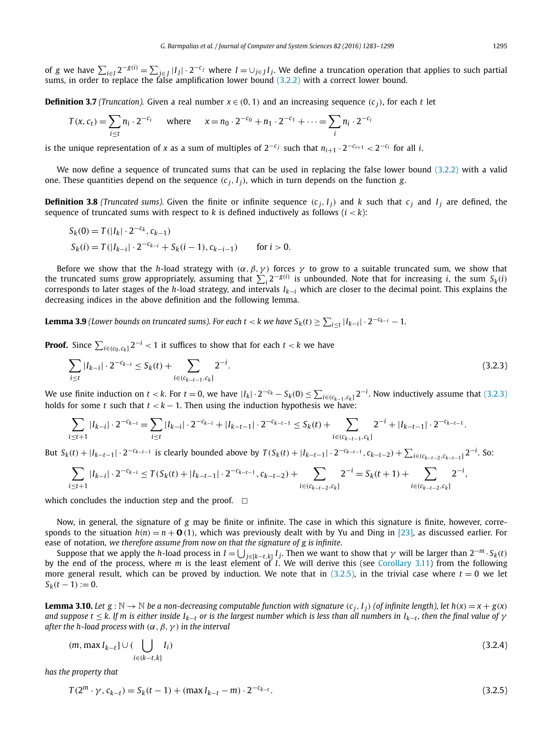<span id="page-12-0"></span>of g we have  $\sum_{i\in I}2^{-g(i)}=\sum_{j\in J}|I_j|\cdot 2^{-c_j}$  where  $I=\cup_{j\in J}I_j$ . We define a truncation operation that applies to such partial sums, in order to replace the false amplification lower bound [\(3.2.2\)](#page-11-0) with a correct lower

**Definition 3.7** *(Truncation).* Given a real number  $x \in (0, 1)$  and an increasing sequence  $(c_i)$ , for each *t* let

$$
T(x, c_t) = \sum_{i \le t} n_i \cdot 2^{-c_i} \quad \text{where} \quad x = n_0 \cdot 2^{-c_0} + n_1 \cdot 2^{-c_1} + \dots = \sum_i n_i \cdot 2^{-c_i}
$$

is the unique representation of *x* as a sum of multiples of  $2^{-c_j}$  such that  $n_{i+1} \cdot 2^{-c_{i+1}} < 2^{-c_i}$  for all *i*.

We now define a sequence of truncated sums that can be used in replacing the false lower bound [\(3.2.2\)](#page-11-0) with a valid one. These quantities depend on the sequence  $(c_j, I_j)$ , which in turn depends on the function *g*.

**Definition 3.8** (Truncated sums). Given the finite or infinite sequence  $(c_i, I_i)$  and k such that  $c_i$  and  $I_i$  are defined, the sequence of truncated sums with respect to  $k$  is defined inductively as follows  $(i < k)$ :

$$
S_k(0) = T(|I_k| \cdot 2^{-c_k}, c_{k-1})
$$
  
\n
$$
S_k(i) = T(|I_{k-i}| \cdot 2^{-c_{k-i}} + S_k(i-1), c_{k-i-1})
$$
 for  $i > 0$ .

Before we show that the *h*-load strategy with  $(\alpha, \beta, \gamma)$  forces  $\gamma$  to grow to a suitable truncated sum, we show that the truncated sums grow appropriately, assuming that  $\sum_i 2^{-g(i)}$  is unbounded. Note that for increasing *i*, the sum  $S_k(i)$ corresponds to later stages of the *<sup>h</sup>*-load strategy, and intervals *Ik*−*<sup>i</sup>* which are closer to the decimal point. This explains the decreasing indices in the above definition and the following lemma.

**Lemma 3.9** (Lower bounds on truncated sums). For each  $t < k$  we have  $S_k(t) \ge \sum_{i \le t} |I_{k-i}| \cdot 2^{-c_{k-i}} - 1$ .

**Proof.** Since  $\sum_{i \in (c_0, c_k]} 2^{-i} < 1$  it suffices to show that for each  $t < k$  we have

$$
\sum_{i \le t} |I_{k-i}| \cdot 2^{-c_{k-i}} \le S_k(t) + \sum_{i \in (c_{k-t-1}, c_k]} 2^{-i}.
$$
\n(3.2.3)

We use finite induction on  $t < k$ . For  $t = 0$ , we have  $|I_k| \cdot 2^{-c_k} - S_k(0) \le \sum_{i \in (c_{k-1}, c_k]} 2^{-i}$ . Now inductively assume that (3.2.3) holds for some *t* such that  $t < k - 1$ . Then using the induction hypothesis we have:

$$
\sum_{i \leq t+1} |I_{k-i}| \cdot 2^{-c_{k-i}} = \sum_{i \leq t} |I_{k-i}| \cdot 2^{-c_{k-i}} + |I_{k-t-1}| \cdot 2^{-c_{k-t-1}} \leq S_k(t) + \sum_{i \in (c_{k-t-1}, c_k]} 2^{-i} + |I_{k-t-1}| \cdot 2^{-c_{k-t-1}}.
$$

But  $S_k(t) + |I_{k-t-1}| \cdot 2^{-c_{k-t-1}}$  is clearly bounded above by  $T(S_k(t) + |I_{k-t-1}| \cdot 2^{-c_{k-t-1}}, c_{k-t-2}) + \sum_{i \in (c_{k-t-2}, c_{k-t-1}]} 2^{-i}$ . So:

$$
\sum_{i \leq t+1} |I_{k-i}| \cdot 2^{-c_{k-i}} \leq T(S_k(t) + |I_{k-t-1}| \cdot 2^{-c_{k-t-1}}, c_{k-t-2}) + \sum_{i \in (c_{k-t-2}, c_k]} 2^{-i} = S_k(t+1) + \sum_{i \in (c_{k-t-2}, c_k]} 2^{-i},
$$

which concludes the induction step and the proof.  $\Box$ 

Now, in general, the signature of *g* may be finite or infinite. The case in which this signature is finite, however, corresponds to the situation  $h(n) = n + \mathbf{0}$  (1), which was previously dealt with by Yu and Ding in [\[23\],](#page-15-0) as discussed earlier. For ease of notation, *we therefore assume from now on that the signature of g is infinite*.

Suppose that we apply the *h*-load process in  $I = \bigcup_{j \in [k-t, k]} I_j$ . Then we want to show that  $\gamma$  will be larger than  $2^{-m} \cdot S_k(t)$ by the end of the process, where *m* is the least element of *I*. We will derive this (see [Corollary 3.11\)](#page-13-0) from the following more general result, which can be proved by induction. We note that in  $(3.2.5)$ , in the trivial case where  $t = 0$  we let  $S_k(t-1) := 0.$ 

**Lemma 3.10.** Let  $g : \mathbb{N} \to \mathbb{N}$  be a non-decreasing computable function with signature  $(c_i, I_i)$  (of infinite length), let  $h(x) = x + g(x)$ and suppose  $t \le k$ . If m is either inside  $I_{k-t}$  or is the largest number which is less than all numbers in  $I_{k-t}$ , then the final value of  $\gamma$ *after the h-load process with*  $(\alpha, \beta, \gamma)$  *in the interval* 

$$
(m, \max I_{k-t}] \cup (\bigcup_{i \in (k-t,k]} I_i) \tag{3.2.4}
$$

*has the property that*

$$
T(2^m \cdot \gamma, c_{k-t}) = S_k(t-1) + (\max I_{k-t} - m) \cdot 2^{-c_{k-t}}.
$$
\n(3.2.5)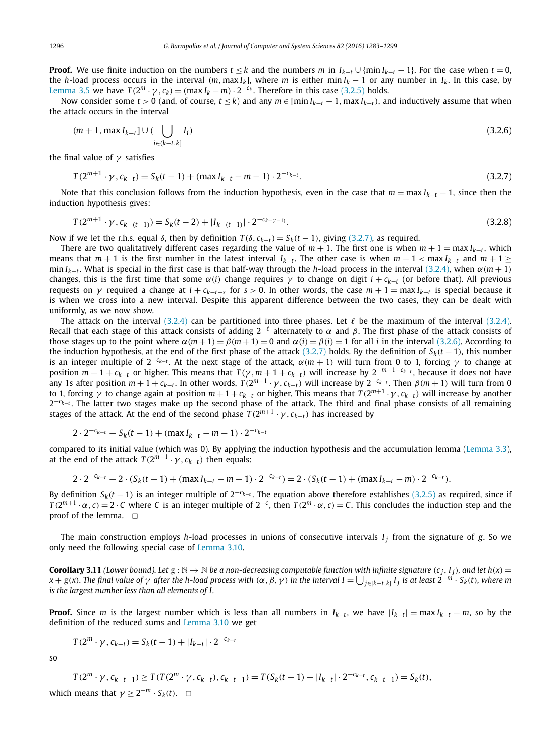<span id="page-13-0"></span>**Proof.** We use finite induction on the numbers  $t \leq k$  and the numbers  $m$  in  $I_{k-t} \cup \{\min I_{k-t} - 1\}$ . For the case when  $t = 0$ , the *h*-load process occurs in the interval  $(m, \max I_k)$ , where *m* is either min  $I_k - 1$  or any number in  $I_k$ . In this case, by [Lemma 3.5](#page-11-0) we have  $T(2^m \cdot \gamma, c_k) = (\max I_k - m) \cdot 2^{-c_k}$ . Therefore in this case [\(3.2.5\)](#page-12-0) holds.

Now consider some *t* > 0 (and, of course, *t*  $\leq k$ ) and any  $m \in [\min I_{k-t}-1, \max I_{k-t})$ , and inductively assume that when the attack occurs in the interval

$$
(m+1, \max I_{k-t}] \cup (\bigcup_{i \in (k-t,k]} I_i) \tag{3.2.6}
$$

the final value of  $\gamma$  satisfies

$$
T(2^{m+1} \cdot \gamma, c_{k-t}) = S_k(t-1) + (\max I_{k-t} - m - 1) \cdot 2^{-c_{k-t}}.
$$
\n(3.2.7)

Note that this conclusion follows from the induction hypothesis, even in the case that  $m = \max l_{k-t} - 1$ , since then the induction hypothesis gives:

$$
T(2^{m+1} \cdot \gamma, c_{k-(t-1)}) = S_k(t-2) + |I_{k-(t-1)}| \cdot 2^{-c_{k-(t-1)}}.
$$
\n(3.2.8)

Now if we let the r.h.s. equal δ, then by definition  $T(δ, c<sub>k-t</sub>) = S<sub>k</sub>(t-1)$ , giving (3.2.7), as required.

There are two qualitatively different cases regarding the value of  $m + 1$ . The first one is when  $m + 1 = \max I_{k-t}$ , which means that  $m + 1$  is the first number in the latest interval  $I_{k-t}$ . The other case is when  $m + 1 < \max I_{k-t}$  and  $m + 1 \ge$ min *I<sub>k−t</sub>*. What is special in the first case is that half-way through the *h*-load process in the interval [\(3.2.4\),](#page-12-0) when  $\alpha$ (*m* + 1) changes, this is the first time that some  $\alpha(i)$  change requires  $\gamma$  to change on digit  $i + c_{k-t}$  (or before that). All previous requests on γ required a change at  $i + c_{k-t+s}$  for  $s > 0$ . In other words, the case  $m + 1 = \max I_{k-t}$  is special because it is when we cross into a new interval. Despite this apparent difference between the two cases, they can be dealt with uniformly, as we now show.

The attack on the interval [\(3.2.4\)](#page-12-0) can be partitioned into three phases. Let  $\ell$  be the maximum of the interval [\(3.2.4\).](#page-12-0) Recall that each stage of this attack consists of adding  $2^{-\ell}$  alternately to  $\alpha$  and  $\beta$ . The first phase of the attack consists of those stages up to the point where  $\alpha(m+1) = \beta(m+1) = 0$  and  $\alpha(i) = \beta(i) = 1$  for all *i* in the interval (3.2.6). According to the induction hypothesis, at the end of the first phase of the attack (3.2.7) holds. By the definition of *Sk(t* − 1*)*, this number is an integer multiple of  $2^{-c_{k-t}}$ . At the next stage of the attack,  $\alpha(m + 1)$  will turn from 0 to 1, forcing γ to change at position  $m + 1 + c_{k-t}$  or higher. This means that  $T(\gamma, m + 1 + c_{k-t})$  will increase by  $2^{-m-1-c_{k-t}}$ , because it does not have any 1s after position  $m+1+c_{k-t}$ . In other words,  $T(2^{m+1} \cdot \gamma, c_{k-t})$  will increase by  $2^{-c_{k-t}}$ . Then  $\beta(m+1)$  will turn from 0 to 1, forcing  $\gamma$  to change again at position  $m+1+c_{k-t}$  or higher. This means that  $T(2^{m+1} \cdot \gamma, c_{k-t})$  will increase by another 2<sup>−*c<sub>k−t</sub>*. The latter two stages make up the second phase of the attack. The third and final phase consists of all remaining</sup> stages of the attack. At the end of the second phase  $T(2^{m+1} \cdot \gamma, c_{k-t})$  has increased by

$$
2 \cdot 2^{-c_{k-t}} + S_k(t-1) + (\max I_{k-t} - m - 1) \cdot 2^{-c_{k-t}}
$$

compared to its initial value (which was 0). By applying the induction hypothesis and the accumulation lemma [\(Lemma 3.3\)](#page-10-0), at the end of the attack  $T(2^{m+1} \cdot \gamma, c_{k-t})$  then equals:

$$
2 \cdot 2^{-c_{k-t}} + 2 \cdot (S_k(t-1) + (\max I_{k-t} - m - 1) \cdot 2^{-c_{k-t}}) = 2 \cdot (S_k(t-1) + (\max I_{k-t} - m) \cdot 2^{-c_{k-t}}).
$$

By definition  $S_k(t-1)$  is an integer multiple of  $2^{-c_k-t}$ . The equation above therefore establishes [\(3.2.5\)](#page-12-0) as required, since if  $T(2^{m+1} \cdot \alpha, c) = 2 \cdot C$  where C is an integer multiple of  $2^{-c}$ , then  $T(2^m \cdot \alpha, c) = C$ . This concludes the induction step and the proof of the lemma.  $\square$ 

The main construction employs *h*-load processes in unions of consecutive intervals  $I_i$  from the signature of *g*. So we only need the following special case of [Lemma 3.10.](#page-12-0)

**Corollary 3.11** (Lower bound). Let  $g : \mathbb{N} \to \mathbb{N}$  be a non-decreasing computable function with infinite signature  $(c_i, I_i)$ , and let  $h(x) =$  $x + g(x)$ . The final value of  $\gamma$  after the h-load process with  $(\alpha, \beta, \gamma)$  in the interval  $I = \bigcup_{j \in [k-t,k]} I_j$  is at least  $2^{-m} \cdot S_k(t)$ , where m *is the largest number less than all elements of I.*

**Proof.** Since *m* is the largest number which is less than all numbers in  $I_{k-t}$ , we have  $|I_{k-t}| = \max I_{k-t} - m$ , so by the definition of the reduced sums and [Lemma 3.10](#page-12-0) we get

$$
T(2^m \cdot \gamma, c_{k-t}) = S_k(t-1) + |I_{k-t}| \cdot 2^{-c_{k-t}}
$$

so

$$
T(2^m \cdot \gamma, c_{k-t-1}) \ge T(T(2^m \cdot \gamma, c_{k-t}), c_{k-t-1}) = T(S_k(t-1) + |I_{k-t}| \cdot 2^{-c_{k-t}}, c_{k-t-1}) = S_k(t),
$$

which means that  $\gamma \geq 2^{-m} \cdot S_k(t)$ .  $\Box$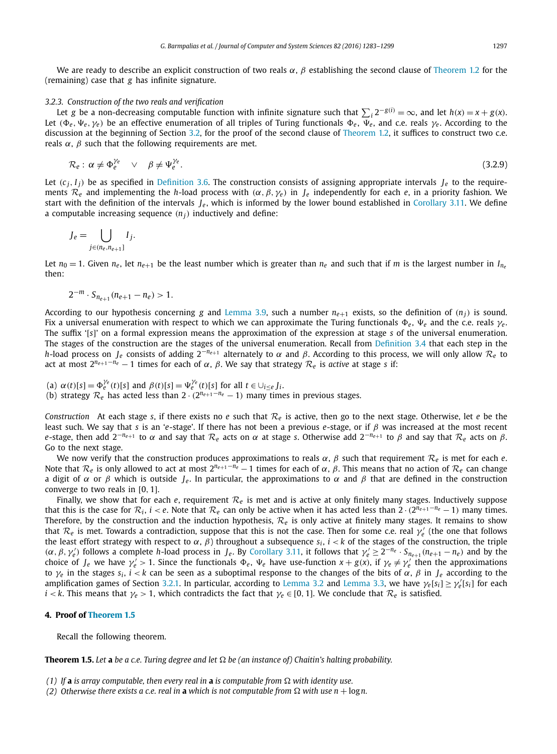<span id="page-14-0"></span>We are ready to describe an explicit construction of two reals  $\alpha$ ,  $\beta$  establishing the second clause of [Theorem 1.2](#page-1-0) for the (remaining) case that *g* has infinite signature.

# *3.2.3. Construction of the two reals and verification*

Let g be a non-decreasing computable function with infinite signature such that  $\sum_i 2^{-g(i)} = \infty$ , and let  $h(x) = x + g(x)$ . Let  $(\Phi_e, \Psi_e, \gamma_e)$  be an effective enumeration of all triples of Turing functionals  $\Phi_e$ ,  $\overline{\Psi}_e$ , and c.e. reals  $\gamma_e$ . According to the discussion at the beginning of Section [3.2,](#page-9-0) for the proof of the second clause of [Theorem 1.2,](#page-1-0) it suffices to construct two c.e. reals  $\alpha$ ,  $\beta$  such that the following requirements are met.

$$
\mathcal{R}_e: \alpha \neq \Phi_e^{\gamma_e} \quad \lor \quad \beta \neq \Psi_e^{\gamma_e}.
$$
\n(3.2.9)

Let  $(c_i, I_i)$  be as specified in [Definition 3.6.](#page-11-0) The construction consists of assigning appropriate intervals  $I_e$  to the requirements  $\mathcal{R}_e$  and implementing the *h*-load process with  $(\alpha, \beta, \gamma_e)$  in  $I_e$  independently for each *e*, in a priority fashion. We start with the definition of the intervals  $J_e$ , which is informed by the lower bound established in [Corollary 3.11.](#page-13-0) We define a computable increasing sequence  $(n_i)$  inductively and define:

$$
J_e = \bigcup_{j \in (n_e, n_{e+1}]} I_j.
$$

Let  $n_0 = 1$ . Given  $n_e$ , let  $n_{e+1}$  be the least number which is greater than  $n_e$  and such that if *m* is the largest number in  $I_{n_e}$ then:

$$
2^{-m} \cdot S_{n_{e+1}}(n_{e+1} - n_e) > 1.
$$

According to our hypothesis concerning *g* and [Lemma 3.9,](#page-12-0) such a number  $n_{e+1}$  exists, so the definition of  $(n_i)$  is sound. Fix a universal enumeration with respect to which we can approximate the Turing functionals  $\Phi_e$ ,  $\Psi_e$  and the c.e. reals  $\gamma_e$ . The suffix '[*s*]' on a formal expression means the approximation of the expression at stage *s* of the universal enumeration. The stages of the construction are the stages of the universal enumeration. Recall from [Definition 3.4](#page-11-0) that each step in the *h*-load process on *J<sub>e</sub>* consists of adding  $2^{-n_{e+1}}$  alternately to  $\alpha$  and  $\beta$ . According to this process, we will only allow  $\mathcal{R}_e$  to act at most  $2^{n_{e+1}-n_e} - 1$  times for each of α, β. We say that strategy  $\mathcal{R}_e$  is *active* at stage *s* if:

- (a)  $\alpha(t)[s] = \Phi_e^{\gamma_e}(t)[s]$  and  $\beta(t)[s] = \Psi_e^{\gamma_e}(t)[s]$  for all  $t \in \bigcup_{i \leq e} J_i$ .
- (b) strategy  $\mathcal{R}_e$  has acted less than  $2 \cdot (2^{n_{e+1}-n_e}-1)$  many times in previous stages.

*Construction* At each stage *s*, if there exists no *e* such that  $\mathcal{R}_e$  is active, then go to the next stage. Otherwise, let *e* be the least such. We say that *s* is an '*e*-stage'. If there has not been a previous *e*-stage, or if β was increased at the most recent *e*-stage, then add  $2^{-n_{e+1}}$  to α and say that  $\mathcal{R}_e$  acts on α at stage *s*. Otherwise add  $2^{-n_{e+1}}$  to β and say that  $\mathcal{R}_e$  acts on β. Go to the next stage.

We now verify that the construction produces approximations to reals  $\alpha$ ,  $\beta$  such that requirement  $\mathcal{R}_e$  is met for each  $e$ . Note that  $\mathcal{R}_e$  is only allowed to act at most  $2^{n_{e+1}-n_e}-1$  times for each of α, β. This means that no action of  $\mathcal{R}_e$  can change a digit of  $\alpha$  or  $\beta$  which is outside *J<sub>e</sub>*. In particular, the approximations to  $\alpha$  and  $\beta$  that are defined in the construction converge to two reals in [0*,* 1].

Finally, we show that for each  $e$ , requirement  $\mathcal{R}_e$  is met and is active at only finitely many stages. Inductively suppose that this is the case for  $\mathcal{R}_i$ ,  $i < e$ . Note that  $\mathcal{R}_e$  can only be active when it has acted less than  $2 \cdot (2^{n_{e+1}-n_e} - 1)$  many times. Therefore, by the construction and the induction hypothesis, *R<sup>e</sup>* is only active at finitely many stages. It remains to show that  $\mathcal{R}_e$  is met. Towards a contradiction, suppose that this is not the case. Then for some c.e. real  $\gamma'_e$  (the one that follows the least effort strategy with respect to  $\alpha$ ,  $\beta$ ) throughout a subsequence  $s_i$ ,  $i < k$  of the stages of the construction, the triple  $(\alpha, \beta, \gamma'_e)$  follows a complete h-load process in  $J_e$ . By [Corollary 3.11,](#page-13-0) it follows that  $\gamma'_e \geq 2^{-n_e} \cdot S_{n_{e+1}}(n_{e+1} - n_e)$  and by the choice of  $J_e$  we have  $\gamma'_e > 1$ . Since the functionals  $\Phi_e$ ,  $\Psi_e$  have use-function  $x + g(x)$ , if  $\gamma_e \neq \gamma'_e$  then the approximations to  $γ_e$  in the stages  $s_i$ ,  $i < k$  can be seen as a suboptimal response to the changes of the bits of  $α$ ,  $β$  in  $J_e$  according to the amplification games of Section [3.2.1.](#page-10-0) In particular, according to [Lemma 3.2](#page-10-0) and [Lemma 3.3,](#page-10-0) we have γ*e*[*s<sub>i</sub>*] ≥ γ*e*<sup>[</sup>*s<sub>i</sub>*] for each *i* < *k*. This means that  $\gamma_e > 1$ , which contradicts the fact that  $\gamma_e \in [0, 1]$ . We conclude that  $\mathcal{R}_e$  is satisfied.

# **4. Proof of [Theorem 1.5](#page-3-0)**

Recall the following theorem.

**Theorem 1.5.** Let **a** be a c.e. Turing degree and let  $\Omega$  be (an instance of) Chaitin's halting probability.

- *(1)* If **a** is array computable, then every real in **a** is computable from  $\Omega$  with identity use.
- *(2)* Otherwise there exists a c.e. real in **a** which is not computable from  $\Omega$  with use  $n + \log n$ .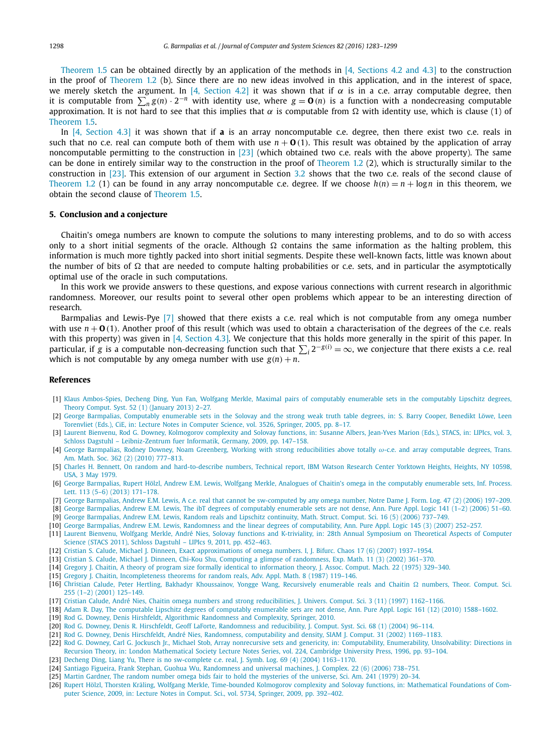<span id="page-15-0"></span>[Theorem 1.5](#page-3-0) can be obtained directly by an application of the methods in [4, Sections 4.2 and 4.3] to the construction in the proof of [Theorem 1.2](#page-1-0) (b). Since there are no new ideas involved in this application, and in the interest of space, we merely sketch the argument. In [4, Section 4.2] it was shown that if  $\alpha$  is in a c.e. array computable degree, then it is computable from  $\sum_n g(n) \cdot 2^{-n}$  with identity use, where  $g = \mathbf{0}(n)$  is a function with a nondecreasing computable approximation. It is not hard to see that this implies that  $\alpha$  is computable from  $\Omega$  with identity use, which is clause (1) of [Theorem 1.5.](#page-3-0)

In [4, Section 4.3] it was shown that if **a** is an array noncomputable c.e. degree, then there exist two c.e. reals in such that no c.e. real can compute both of them with use  $n + O(1)$ . This result was obtained by the application of array noncomputable permitting to the construction in [23] (which obtained two c.e. reals with the above property). The same can be done in entirely similar way to the construction in the proof of [Theorem 1.2](#page-1-0) (2), which is structurally similar to the construction in [23]. This extension of our argument in Section [3.2](#page-9-0) shows that the two c.e. reals of the second clause of [Theorem 1.2](#page-1-0) (1) can be found in any array noncomputable c.e. degree. If we choose  $h(n) = n + \log n$  in this theorem, we obtain the second clause of [Theorem 1.5.](#page-3-0)

#### **5. Conclusion and a conjecture**

Chaitin's omega numbers are known to compute the solutions to many interesting problems, and to do so with access only to a short initial segments of the oracle. Although  $\Omega$  contains the same information as the halting problem, this information is much more tightly packed into short initial segments. Despite these well-known facts, little was known about the number of bits of  $\Omega$  that are needed to compute halting probabilities or c.e. sets, and in particular the asymptotically optimal use of the oracle in such computations.

In this work we provide answers to these questions, and expose various connections with current research in algorithmic randomness. Moreover, our results point to several other open problems which appear to be an interesting direction of research.

Barmpalias and Lewis-Pye [7] showed that there exists a c.e. real which is not computable from any omega number with use  $n + O(1)$ . Another proof of this result (which was used to obtain a characterisation of the degrees of the c.e. reals with this property) was given in [4, Section 4.3]. We conjecture that this holds more generally in the spirit of this paper. In particular, if *g* is a computable non-decreasing function such that  $\sum_i 2^{-g(i)} = \infty$ , we conjecture that there exists a c.e. real which is not computable by any omega number with use  $g(n) + n$ .

# **References**

- [1] Klaus [Ambos-Spies,](http://refhub.elsevier.com/S0022-0000(16)30030-7/bib4D65726B6C656261726D70s1) Decheng Ding, Yun Fan, Wolfgang Merkle, Maximal pairs of computably enumerable sets in the computably Lipschitz degrees, Theory [Comput.](http://refhub.elsevier.com/S0022-0000(16)30030-7/bib4D65726B6C656261726D70s1) Syst. 52 (1) (January 2013) 2–27.
- [2] George Barmpalias, [Computably](http://refhub.elsevier.com/S0022-0000(16)30030-7/bib44424C503A636F6E662F6369652F4261726D70616C6961733035s1) enumerable sets in the Solovay and the strong weak truth table degrees, in: S. Barry Cooper, Benedikt Löwe, Leen [Torenvliet](http://refhub.elsevier.com/S0022-0000(16)30030-7/bib44424C503A636F6E662F6369652F4261726D70616C6961733035s1) (Eds.), CiE, in: Lecture Notes in Computer Science, vol. 3526, Springer, 2005, pp. 8–17.
- [3] Laurent Bienvenu, Rod G. Downey, [Kolmogorov](http://refhub.elsevier.com/S0022-0000(16)30030-7/bib44424C503A636F6E662F73746163732F4269656E76656E75443039s1) complexity and Solovay functions, in: Susanne Albers, Jean-Yves Marion (Eds.), STACS, in: LIPIcs, vol. 3, Schloss Dagstuhl – [Leibniz-Zentrum](http://refhub.elsevier.com/S0022-0000(16)30030-7/bib44424C503A636F6E662F73746163732F4269656E76656E75443039s1) fuer Informatik, Germany, 2009, pp. 147–158.
- [4] George Barmpalias, Rodney Downey, Noam Greenberg, Working with strong [reducibilities](http://refhub.elsevier.com/S0022-0000(16)30030-7/bib494F504F52542E3035363738343931s1) above totally ω-c.e. and array computable degrees, Trans. Am. Math. Soc. 362 (2) (2010) [777–813.](http://refhub.elsevier.com/S0022-0000(16)30030-7/bib494F504F52542E3035363738343931s1)
- [5] Charles H. Bennett, On random and [hard-to-describe](http://refhub.elsevier.com/S0022-0000(16)30030-7/bib62656E6E6574747265616C3739s1) numbers, Technical report, IBM Watson Research Center Yorktown Heights, Heights, NY 10598, USA, 3 May [1979.](http://refhub.elsevier.com/S0022-0000(16)30030-7/bib62656E6E6574747265616C3739s1)
- [6] George Barmpalias, Rupert Hölzl, Andrew E.M. Lewis, Wolfgang Merkle, Analogues of Chaitin's omega in the computably [enumerable](http://refhub.elsevier.com/S0022-0000(16)30030-7/bib69706C2F4261726D70616C696173484C4D3133s1) sets, Inf. Process. Lett. [113 \(5–6\)](http://refhub.elsevier.com/S0022-0000(16)30030-7/bib69706C2F4261726D70616C696173484C4D3133s1) (2013) 171–178.
- [7] George Barmpalias, Andrew E.M. Lewis, A c.e. real that cannot be [sw-computed](http://refhub.elsevier.com/S0022-0000(16)30030-7/bib6A666C42616961734C3036s1) by any omega number, Notre Dame J. Form. Log. 47 (2) (2006) 197–209.
- [8] George Barmpalias, Andrew E.M. Lewis, The ibT degrees of computably [enumerable](http://refhub.elsevier.com/S0022-0000(16)30030-7/bib424C696254s1) sets are not dense, Ann. Pure Appl. Logic 141 (1–2) (2006) 51–60.
- [9] George [Barmpalias,](http://refhub.elsevier.com/S0022-0000(16)30030-7/bib424C30352E35s1) Andrew E.M. Lewis, Random reals and Lipschitz continuity, Math. Struct. Comput. Sci. 16 (5) (2006) 737–749.
- [10] George Barmpalias, Andrew E.M. Lewis, Randomness and the linear degrees of [computability,](http://refhub.elsevier.com/S0022-0000(16)30030-7/bib4D5232323836343134s1) Ann. Pure Appl. Logic 145 (3) (2007) 252–257.
- [11] Laurent Bienvenu, Wolfgang Merkle, André Nies, Solovay functions and K-triviality, in: 28th Annual [Symposium](http://refhub.elsevier.com/S0022-0000(16)30030-7/bib4269656E76656E754D4E3131s1) on Theoretical Aspects of Computer Science (STACS 2011), Schloss Dagstuhl – LIPIcs 9, 2011, [pp. 452–463.](http://refhub.elsevier.com/S0022-0000(16)30030-7/bib4269656E76656E754D4E3131s1)
- [12] Cristian S. Calude, Michael J. Dinneen, Exact [approximations](http://refhub.elsevier.com/S0022-0000(16)30030-7/bib696A62632F43616C756465443037s1) of omega numbers. I, J. Bifurc. Chaos 17 (6) (2007) 1937–1954.
- [13] Cristian S. Calude, Michael J. Dinneen, Chi-Kou Shu, Computing a glimpse of [randomness,](http://refhub.elsevier.com/S0022-0000(16)30030-7/bib43616C75646544533032s1) Exp. Math. 11 (3) (2002) 361–370.
- [14] Gregory J. Chaitin, A theory of program size formally identical to [information](http://refhub.elsevier.com/S0022-0000(16)30030-7/bib4D5230343131383239s1) theory, J. Assoc. Comput. Mach. 22 (1975) 329–340.
- [15] Gregory J. Chaitin, [Incompleteness](http://refhub.elsevier.com/S0022-0000(16)30030-7/bib6368616974696E696E636F6D70s1) theorems for random reals, Adv. Appl. Math. 8 (1987) 119–146.
- [16] Christian Calude, Peter Hertling, Bakhadyr [Khoussainov,](http://refhub.elsevier.com/S0022-0000(16)30030-7/bib43616C7564652E486572746C696E672E65613A3031s1) Yongge Wang, Recursively enumerable reals and Chaitin  $\Omega$  numbers, Theor. Comput. Sci. [255 \(1–2\)](http://refhub.elsevier.com/S0022-0000(16)30030-7/bib43616C7564652E486572746C696E672E65613A3031s1) (2001) 125–149.
- [17] Cristian Calude, André Nies, Chaitin omega numbers and strong [reducibilities,](http://refhub.elsevier.com/S0022-0000(16)30030-7/bib43616C7564654E3937s1) J. Univers. Comput. Sci. 3 (11) (1997) 1162–1166.
- [18] Adam R. Day, The computable Lipschitz degrees of computably [enumerable](http://refhub.elsevier.com/S0022-0000(16)30030-7/bib6170616C2F4461793130s1) sets are not dense, Ann. Pure Appl. Logic 161 (12) (2010) 1588–1602.
- [19] Rod G. Downey, Denis Hirshfeldt, Algorithmic [Randomness](http://refhub.elsevier.com/S0022-0000(16)30030-7/bib726F64656E6973626F6F6Bs1) and Complexity, Springer, 2010.
- [20] Rod G. Downey, Denis R. Hirschfeldt, Geoff LaForte, [Randomness](http://refhub.elsevier.com/S0022-0000(16)30030-7/bib4D5232303330353132s1) and reducibility, J. Comput. Syst. Sci. 68 (1) (2004) 96–114.
- [21] Rod G. Downey, Denis Hirschfeldt, André Nies, Randomness, [computability](http://refhub.elsevier.com/S0022-0000(16)30030-7/bib44484Es1) and density, SIAM J. Comput. 31 (2002) 1169–1183.
- [22] Rod G. Downey, Carl G. Jockusch Jr., Michael Stob, Array nonrecursive sets and genericity, in: [Computability,](http://refhub.elsevier.com/S0022-0000(16)30030-7/bib444A5332s1) Enumerability, Unsolvability: Directions in Recursion Theory, in: London [Mathematical](http://refhub.elsevier.com/S0022-0000(16)30030-7/bib444A5332s1) Society Lecture Notes Series, vol. 224, Cambridge University Press, 1996, pp. 93–104.
- [23] Decheng Ding, Liang Yu, There is no [sw-complete](http://refhub.elsevier.com/S0022-0000(16)30030-7/bib44696E67593034s1) c.e. real, J. Symb. Log. 69 (4) (2004) 1163–1170.
- [24] Santiago Figueira, Frank Stephan, Guohua Wu, [Randomness](http://refhub.elsevier.com/S0022-0000(16)30030-7/bib6A632F466967756569726153573036s1) and universal machines, J. Complex. 22 (6) (2006) 738–751.
- [25] Martin Gardner, The random number omega bids fair to hold the [mysteries](http://refhub.elsevier.com/S0022-0000(16)30030-7/bib62656E6E65743739s1) of the universe, Sci. Am. 241 (1979) 20–34.
- [26] Rupert Hölzl, Thorsten Kräling, Wolfgang Merkle, [Time-bounded](http://refhub.elsevier.com/S0022-0000(16)30030-7/bib686F6C7A6C4D65726B4B72613039s1) Kolmogorov complexity and Solovay functions, in: Mathematical Foundations of Computer Science, 2009, in: Lecture Notes in Comput. Sci., vol. 5734, Springer, 2009, [pp. 392–402.](http://refhub.elsevier.com/S0022-0000(16)30030-7/bib686F6C7A6C4D65726B4B72613039s1)